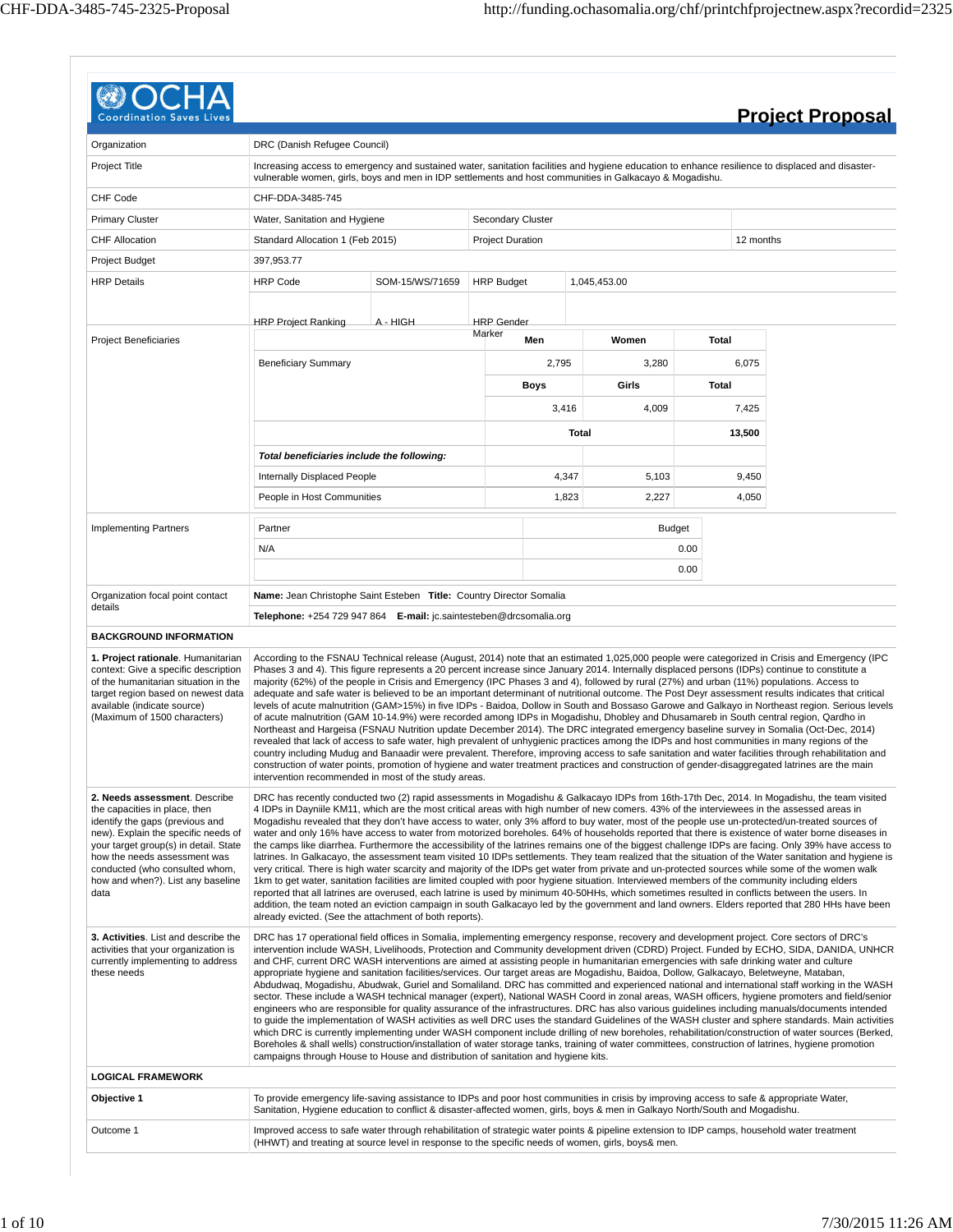| Coordination                                                                                                                                                                                                                                                                                     |                                                                                                                                                                                                                                                                                                                                                                                                                                                                                                                                                                                                                                                                                                                                                                                                                                                                                                                                                                                                                                                                                                                                                                                                                                                                                                                                                                                                                                                                                                                                                                                        |                 |                         |       |               |              |           | <b>Project Proposal</b> |
|--------------------------------------------------------------------------------------------------------------------------------------------------------------------------------------------------------------------------------------------------------------------------------------------------|----------------------------------------------------------------------------------------------------------------------------------------------------------------------------------------------------------------------------------------------------------------------------------------------------------------------------------------------------------------------------------------------------------------------------------------------------------------------------------------------------------------------------------------------------------------------------------------------------------------------------------------------------------------------------------------------------------------------------------------------------------------------------------------------------------------------------------------------------------------------------------------------------------------------------------------------------------------------------------------------------------------------------------------------------------------------------------------------------------------------------------------------------------------------------------------------------------------------------------------------------------------------------------------------------------------------------------------------------------------------------------------------------------------------------------------------------------------------------------------------------------------------------------------------------------------------------------------|-----------------|-------------------------|-------|---------------|--------------|-----------|-------------------------|
|                                                                                                                                                                                                                                                                                                  |                                                                                                                                                                                                                                                                                                                                                                                                                                                                                                                                                                                                                                                                                                                                                                                                                                                                                                                                                                                                                                                                                                                                                                                                                                                                                                                                                                                                                                                                                                                                                                                        |                 |                         |       |               |              |           |                         |
| Organization<br>Project Title                                                                                                                                                                                                                                                                    | DRC (Danish Refugee Council)<br>Increasing access to emergency and sustained water, sanitation facilities and hygiene education to enhance resilience to displaced and disaster-<br>vulnerable women, girls, boys and men in IDP settlements and host communities in Galkacayo & Mogadishu.                                                                                                                                                                                                                                                                                                                                                                                                                                                                                                                                                                                                                                                                                                                                                                                                                                                                                                                                                                                                                                                                                                                                                                                                                                                                                            |                 |                         |       |               |              |           |                         |
| <b>CHF Code</b>                                                                                                                                                                                                                                                                                  | CHF-DDA-3485-745                                                                                                                                                                                                                                                                                                                                                                                                                                                                                                                                                                                                                                                                                                                                                                                                                                                                                                                                                                                                                                                                                                                                                                                                                                                                                                                                                                                                                                                                                                                                                                       |                 |                         |       |               |              |           |                         |
| <b>Primary Cluster</b>                                                                                                                                                                                                                                                                           | Water, Sanitation and Hygiene                                                                                                                                                                                                                                                                                                                                                                                                                                                                                                                                                                                                                                                                                                                                                                                                                                                                                                                                                                                                                                                                                                                                                                                                                                                                                                                                                                                                                                                                                                                                                          |                 | Secondary Cluster       |       |               |              |           |                         |
| <b>CHF Allocation</b>                                                                                                                                                                                                                                                                            | Standard Allocation 1 (Feb 2015)                                                                                                                                                                                                                                                                                                                                                                                                                                                                                                                                                                                                                                                                                                                                                                                                                                                                                                                                                                                                                                                                                                                                                                                                                                                                                                                                                                                                                                                                                                                                                       |                 | <b>Project Duration</b> |       |               |              | 12 months |                         |
| Project Budget                                                                                                                                                                                                                                                                                   | 397,953.77                                                                                                                                                                                                                                                                                                                                                                                                                                                                                                                                                                                                                                                                                                                                                                                                                                                                                                                                                                                                                                                                                                                                                                                                                                                                                                                                                                                                                                                                                                                                                                             |                 |                         |       |               |              |           |                         |
| <b>HRP Details</b>                                                                                                                                                                                                                                                                               | <b>HRP Code</b>                                                                                                                                                                                                                                                                                                                                                                                                                                                                                                                                                                                                                                                                                                                                                                                                                                                                                                                                                                                                                                                                                                                                                                                                                                                                                                                                                                                                                                                                                                                                                                        | SOM-15/WS/71659 | <b>HRP Budget</b>       |       | 1,045,453.00  |              |           |                         |
|                                                                                                                                                                                                                                                                                                  | <b>HRP Project Ranking</b>                                                                                                                                                                                                                                                                                                                                                                                                                                                                                                                                                                                                                                                                                                                                                                                                                                                                                                                                                                                                                                                                                                                                                                                                                                                                                                                                                                                                                                                                                                                                                             | A - HIGH        | <b>HRP</b> Gender       |       |               |              |           |                         |
| <b>Project Beneficiaries</b>                                                                                                                                                                                                                                                                     |                                                                                                                                                                                                                                                                                                                                                                                                                                                                                                                                                                                                                                                                                                                                                                                                                                                                                                                                                                                                                                                                                                                                                                                                                                                                                                                                                                                                                                                                                                                                                                                        |                 | Marker<br>Men           |       | Women         | <b>Total</b> |           |                         |
|                                                                                                                                                                                                                                                                                                  | <b>Beneficiary Summary</b>                                                                                                                                                                                                                                                                                                                                                                                                                                                                                                                                                                                                                                                                                                                                                                                                                                                                                                                                                                                                                                                                                                                                                                                                                                                                                                                                                                                                                                                                                                                                                             |                 |                         | 2,795 | 3,280         |              | 6,075     |                         |
|                                                                                                                                                                                                                                                                                                  |                                                                                                                                                                                                                                                                                                                                                                                                                                                                                                                                                                                                                                                                                                                                                                                                                                                                                                                                                                                                                                                                                                                                                                                                                                                                                                                                                                                                                                                                                                                                                                                        |                 | Boys                    |       | Girls         | Total        |           |                         |
|                                                                                                                                                                                                                                                                                                  |                                                                                                                                                                                                                                                                                                                                                                                                                                                                                                                                                                                                                                                                                                                                                                                                                                                                                                                                                                                                                                                                                                                                                                                                                                                                                                                                                                                                                                                                                                                                                                                        |                 |                         | 3,416 | 4,009         |              | 7,425     |                         |
|                                                                                                                                                                                                                                                                                                  |                                                                                                                                                                                                                                                                                                                                                                                                                                                                                                                                                                                                                                                                                                                                                                                                                                                                                                                                                                                                                                                                                                                                                                                                                                                                                                                                                                                                                                                                                                                                                                                        |                 |                         |       | Total         |              | 13,500    |                         |
|                                                                                                                                                                                                                                                                                                  | Total beneficiaries include the following:                                                                                                                                                                                                                                                                                                                                                                                                                                                                                                                                                                                                                                                                                                                                                                                                                                                                                                                                                                                                                                                                                                                                                                                                                                                                                                                                                                                                                                                                                                                                             |                 |                         |       |               |              |           |                         |
|                                                                                                                                                                                                                                                                                                  | <b>Internally Displaced People</b>                                                                                                                                                                                                                                                                                                                                                                                                                                                                                                                                                                                                                                                                                                                                                                                                                                                                                                                                                                                                                                                                                                                                                                                                                                                                                                                                                                                                                                                                                                                                                     |                 |                         | 4,347 | 5,103         |              | 9,450     |                         |
|                                                                                                                                                                                                                                                                                                  | People in Host Communities                                                                                                                                                                                                                                                                                                                                                                                                                                                                                                                                                                                                                                                                                                                                                                                                                                                                                                                                                                                                                                                                                                                                                                                                                                                                                                                                                                                                                                                                                                                                                             |                 |                         | 1,823 | 2,227         |              | 4,050     |                         |
|                                                                                                                                                                                                                                                                                                  |                                                                                                                                                                                                                                                                                                                                                                                                                                                                                                                                                                                                                                                                                                                                                                                                                                                                                                                                                                                                                                                                                                                                                                                                                                                                                                                                                                                                                                                                                                                                                                                        |                 |                         |       |               |              |           |                         |
| <b>Implementing Partners</b>                                                                                                                                                                                                                                                                     | Partner                                                                                                                                                                                                                                                                                                                                                                                                                                                                                                                                                                                                                                                                                                                                                                                                                                                                                                                                                                                                                                                                                                                                                                                                                                                                                                                                                                                                                                                                                                                                                                                |                 |                         |       | <b>Budget</b> |              |           |                         |
|                                                                                                                                                                                                                                                                                                  | N/A                                                                                                                                                                                                                                                                                                                                                                                                                                                                                                                                                                                                                                                                                                                                                                                                                                                                                                                                                                                                                                                                                                                                                                                                                                                                                                                                                                                                                                                                                                                                                                                    |                 |                         |       |               | 0.00<br>0.00 |           |                         |
| Organization focal point contact                                                                                                                                                                                                                                                                 | Name: Jean Christophe Saint Esteben Title: Country Director Somalia                                                                                                                                                                                                                                                                                                                                                                                                                                                                                                                                                                                                                                                                                                                                                                                                                                                                                                                                                                                                                                                                                                                                                                                                                                                                                                                                                                                                                                                                                                                    |                 |                         |       |               |              |           |                         |
| details                                                                                                                                                                                                                                                                                          | Telephone: +254 729 947 864 E-mail: jc.saintesteben@drcsomalia.org                                                                                                                                                                                                                                                                                                                                                                                                                                                                                                                                                                                                                                                                                                                                                                                                                                                                                                                                                                                                                                                                                                                                                                                                                                                                                                                                                                                                                                                                                                                     |                 |                         |       |               |              |           |                         |
| <b>BACKGROUND INFORMATION</b>                                                                                                                                                                                                                                                                    |                                                                                                                                                                                                                                                                                                                                                                                                                                                                                                                                                                                                                                                                                                                                                                                                                                                                                                                                                                                                                                                                                                                                                                                                                                                                                                                                                                                                                                                                                                                                                                                        |                 |                         |       |               |              |           |                         |
| 1. Project rationale. Humanitarian<br>context: Give a specific description<br>of the humanitarian situation in the<br>target region based on newest data<br>available (indicate source)<br>(Maximum of 1500 characters)                                                                          | According to the FSNAU Technical release (August, 2014) note that an estimated 1,025,000 people were categorized in Crisis and Emergency (IPC<br>Phases 3 and 4). This figure represents a 20 percent increase since January 2014. Internally displaced persons (IDPs) continue to constitute a<br>majority (62%) of the people in Crisis and Emergency (IPC Phases 3 and 4), followed by rural (27%) and urban (11%) populations. Access to<br>adequate and safe water is believed to be an important determinant of nutritional outcome. The Post Deyr assessment results indicates that critical<br>levels of acute malnutrition (GAM>15%) in five IDPs - Baidoa, Dollow in South and Bossaso Garowe and Galkayo in Northeast region. Serious levels<br>of acute malnutrition (GAM 10-14.9%) were recorded among IDPs in Mogadishu, Dhobley and Dhusamareb in South central region, Qardho in<br>Northeast and Hargeisa (FSNAU Nutrition update December 2014). The DRC integrated emergency baseline survey in Somalia (Oct-Dec, 2014)<br>revealed that lack of access to safe water, high prevalent of unhygienic practices among the IDPs and host communities in many regions of the<br>country including Mudug and Banaadir were prevalent. Therefore, improving access to safe sanitation and water facilities through rehabilitation and<br>construction of water points, promotion of hygiene and water treatment practices and construction of gender-disaggregated latrines are the main<br>intervention recommended in most of the study areas.                          |                 |                         |       |               |              |           |                         |
| 2. Needs assessment. Describe<br>the capacities in place, then<br>identify the gaps (previous and<br>new). Explain the specific needs of<br>your target group(s) in detail. State<br>how the needs assessment was<br>conducted (who consulted whom,<br>how and when?). List any baseline<br>data | DRC has recently conducted two (2) rapid assessments in Mogadishu & Galkacayo IDPs from 16th-17th Dec, 2014. In Mogadishu, the team visited<br>4 IDPs in Dayniile KM11, which are the most critical areas with high number of new comers. 43% of the interviewees in the assessed areas in<br>Mogadishu revealed that they don't have access to water, only 3% afford to buy water, most of the people use un-protected/un-treated sources of<br>water and only 16% have access to water from motorized boreholes. 64% of households reported that there is existence of water borne diseases in<br>the camps like diarrhea. Furthermore the accessibility of the latrines remains one of the biggest challenge IDPs are facing. Only 39% have access to<br>latrines. In Galkacayo, the assessment team visited 10 IDPs settlements. They team realized that the situation of the Water sanitation and hygiene is<br>very critical. There is high water scarcity and majority of the IDPs get water from private and un-protected sources while some of the women walk<br>1km to get water, sanitation facilities are limited coupled with poor hygiene situation. Interviewed members of the community including elders<br>reported that all latrines are overused, each latrine is used by minimum 40-50HHs, which sometimes resulted in conflicts between the users. In<br>addition, the team noted an eviction campaign in south Galkacayo led by the government and land owners. Elders reported that 280 HHs have been<br>already evicted. (See the attachment of both reports). |                 |                         |       |               |              |           |                         |
| 3. Activities. List and describe the<br>activities that your organization is<br>currently implementing to address<br>these needs                                                                                                                                                                 | DRC has 17 operational field offices in Somalia, implementing emergency response, recovery and development project. Core sectors of DRC's<br>intervention include WASH, Livelihoods, Protection and Community development driven (CDRD) Project. Funded by ECHO, SIDA, DANIDA, UNHCR<br>and CHF, current DRC WASH interventions are aimed at assisting people in humanitarian emergencies with safe drinking water and culture<br>appropriate hygiene and sanitation facilities/services. Our target areas are Mogadishu, Baidoa, Dollow, Galkacayo, Beletweyne, Mataban,<br>Abdudwaq, Mogadishu, Abudwak, Guriel and Somaliland. DRC has committed and experienced national and international staff working in the WASH<br>sector. These include a WASH technical manager (expert), National WASH Coord in zonal areas, WASH officers, hygiene promoters and field/senior<br>engineers who are responsible for quality assurance of the infrastructures. DRC has also various guidelines including manuals/documents intended<br>to guide the implementation of WASH activities as well DRC uses the standard Guidelines of the WASH cluster and sphere standards. Main activities<br>which DRC is currently implementing under WASH component include drilling of new boreholes, rehabilitation/construction of water sources (Berked,<br>Boreholes & shall wells) construction/installation of water storage tanks, training of water committees, construction of latrines, hygiene promotion<br>campaigns through House to House and distribution of sanitation and hygiene kits.  |                 |                         |       |               |              |           |                         |
| <b>LOGICAL FRAMEWORK</b>                                                                                                                                                                                                                                                                         |                                                                                                                                                                                                                                                                                                                                                                                                                                                                                                                                                                                                                                                                                                                                                                                                                                                                                                                                                                                                                                                                                                                                                                                                                                                                                                                                                                                                                                                                                                                                                                                        |                 |                         |       |               |              |           |                         |
| Objective 1                                                                                                                                                                                                                                                                                      | To provide emergency life-saving assistance to IDPs and poor host communities in crisis by improving access to safe & appropriate Water,<br>Sanitation, Hygiene education to conflict & disaster-affected women, girls, boys & men in Galkayo North/South and Mogadishu.                                                                                                                                                                                                                                                                                                                                                                                                                                                                                                                                                                                                                                                                                                                                                                                                                                                                                                                                                                                                                                                                                                                                                                                                                                                                                                               |                 |                         |       |               |              |           |                         |
| Outcome 1                                                                                                                                                                                                                                                                                        | Improved access to safe water through rehabilitation of strategic water points & pipeline extension to IDP camps, household water treatment<br>(HHWT) and treating at source level in response to the specific needs of women, girls, boys& men.                                                                                                                                                                                                                                                                                                                                                                                                                                                                                                                                                                                                                                                                                                                                                                                                                                                                                                                                                                                                                                                                                                                                                                                                                                                                                                                                       |                 |                         |       |               |              |           |                         |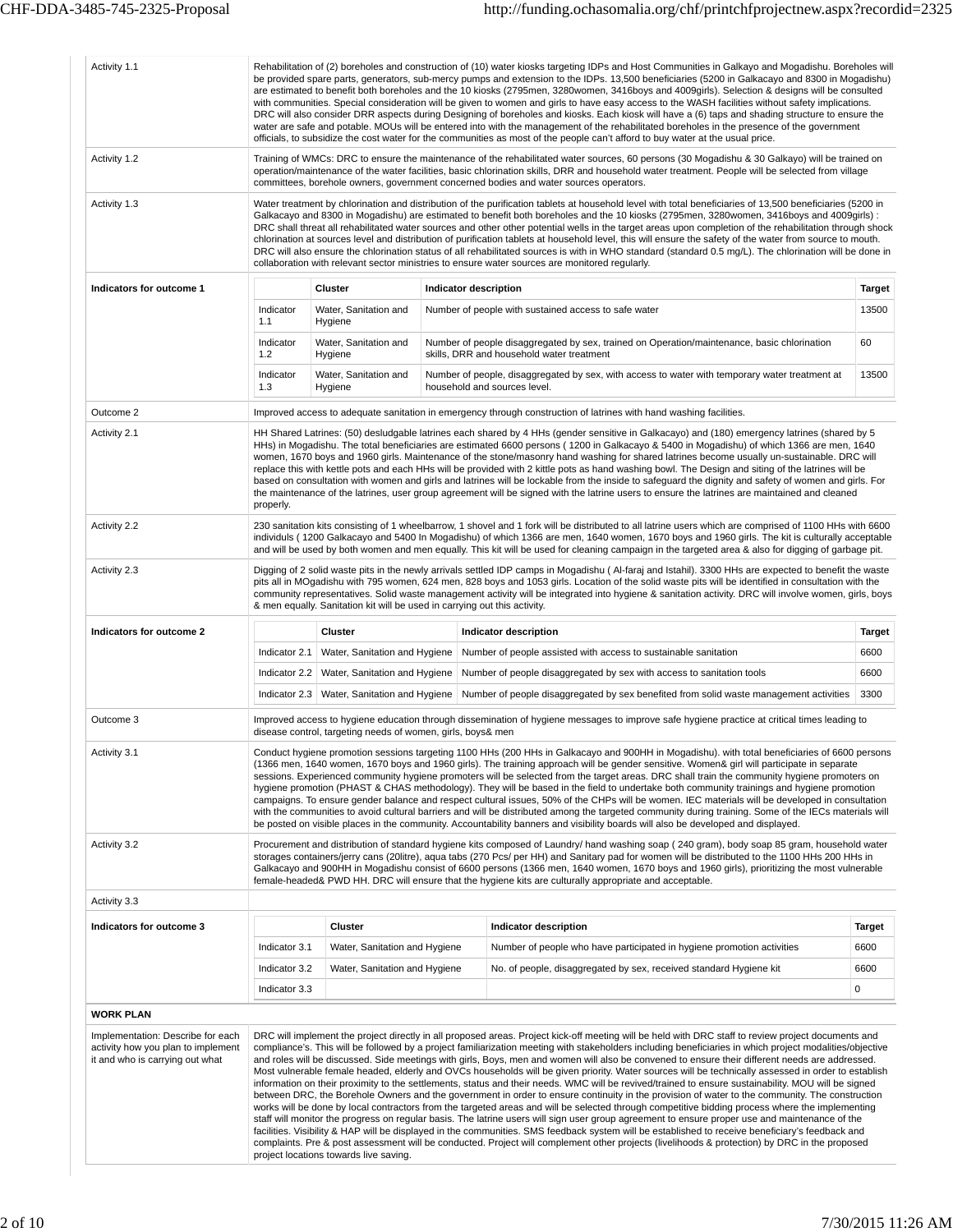| Activity 1.1                                                                                               |                  |                                                                           | Rehabilitation of (2) boreholes and construction of (10) water kiosks targeting IDPs and Host Communities in Galkayo and Mogadishu. Boreholes will<br>be provided spare parts, generators, sub-mercy pumps and extension to the IDPs. 13,500 beneficiaries (5200 in Galkacayo and 8300 in Mogadishu)<br>are estimated to benefit both boreholes and the 10 kiosks (2795men, 3280women, 3416boys and 4009girls). Selection & designs will be consulted<br>with communities. Special consideration will be given to women and girls to have easy access to the WASH facilities without safety implications.<br>DRC will also consider DRR aspects during Designing of boreholes and kiosks. Each kiosk will have a (6) taps and shading structure to ensure the<br>water are safe and potable. MOUs will be entered into with the management of the rehabilitated boreholes in the presence of the government<br>officials, to subsidize the cost water for the communities as most of the people can't afford to buy water at the usual price.                                                                                                                                                                                                                                                                                                                                                                                                                                                                                                |               |
|------------------------------------------------------------------------------------------------------------|------------------|---------------------------------------------------------------------------|----------------------------------------------------------------------------------------------------------------------------------------------------------------------------------------------------------------------------------------------------------------------------------------------------------------------------------------------------------------------------------------------------------------------------------------------------------------------------------------------------------------------------------------------------------------------------------------------------------------------------------------------------------------------------------------------------------------------------------------------------------------------------------------------------------------------------------------------------------------------------------------------------------------------------------------------------------------------------------------------------------------------------------------------------------------------------------------------------------------------------------------------------------------------------------------------------------------------------------------------------------------------------------------------------------------------------------------------------------------------------------------------------------------------------------------------------------------------------------------------------------------------------------------------|---------------|
| Activity 1.2                                                                                               |                  |                                                                           | Training of WMCs: DRC to ensure the maintenance of the rehabilitated water sources, 60 persons (30 Mogadishu & 30 Galkayo) will be trained on<br>operation/maintenance of the water facilities, basic chlorination skills, DRR and household water treatment. People will be selected from village<br>committees, borehole owners, government concerned bodies and water sources operators.                                                                                                                                                                                                                                                                                                                                                                                                                                                                                                                                                                                                                                                                                                                                                                                                                                                                                                                                                                                                                                                                                                                                                  |               |
| Activity 1.3                                                                                               |                  |                                                                           | Water treatment by chlorination and distribution of the purification tablets at household level with total beneficiaries of 13,500 beneficiaries (5200 in<br>Galkacayo and 8300 in Mogadishu) are estimated to benefit both boreholes and the 10 kiosks (2795men, 3280women, 3416boys and 4009qirls):<br>DRC shall threat all rehabilitated water sources and other other potential wells in the target areas upon completion of the rehabilitation through shock<br>chlorination at sources level and distribution of purification tablets at household level, this will ensure the safety of the water from source to mouth.<br>DRC will also ensure the chlorination status of all rehabilitated sources is with in WHO standard (standard 0.5 mg/L). The chlorination will be done in<br>collaboration with relevant sector ministries to ensure water sources are monitored regularly.                                                                                                                                                                                                                                                                                                                                                                                                                                                                                                                                                                                                                                                  |               |
| Indicators for outcome 1                                                                                   |                  | <b>Cluster</b>                                                            | Indicator description                                                                                                                                                                                                                                                                                                                                                                                                                                                                                                                                                                                                                                                                                                                                                                                                                                                                                                                                                                                                                                                                                                                                                                                                                                                                                                                                                                                                                                                                                                                        | <b>Target</b> |
|                                                                                                            | Indicator<br>1.1 | Water, Sanitation and<br>Hygiene                                          | Number of people with sustained access to safe water                                                                                                                                                                                                                                                                                                                                                                                                                                                                                                                                                                                                                                                                                                                                                                                                                                                                                                                                                                                                                                                                                                                                                                                                                                                                                                                                                                                                                                                                                         | 13500         |
|                                                                                                            | Indicator<br>1.2 | Water, Sanitation and<br>Hygiene                                          | Number of people disaggregated by sex, trained on Operation/maintenance, basic chlorination<br>skills, DRR and household water treatment                                                                                                                                                                                                                                                                                                                                                                                                                                                                                                                                                                                                                                                                                                                                                                                                                                                                                                                                                                                                                                                                                                                                                                                                                                                                                                                                                                                                     | 60            |
|                                                                                                            | Indicator<br>1.3 | Water, Sanitation and<br>Hygiene                                          | Number of people, disaggregated by sex, with access to water with temporary water treatment at<br>household and sources level.                                                                                                                                                                                                                                                                                                                                                                                                                                                                                                                                                                                                                                                                                                                                                                                                                                                                                                                                                                                                                                                                                                                                                                                                                                                                                                                                                                                                               | 13500         |
| Outcome 2                                                                                                  |                  |                                                                           | Improved access to adequate sanitation in emergency through construction of latrines with hand washing facilities.                                                                                                                                                                                                                                                                                                                                                                                                                                                                                                                                                                                                                                                                                                                                                                                                                                                                                                                                                                                                                                                                                                                                                                                                                                                                                                                                                                                                                           |               |
| Activity 2.1                                                                                               | properly.        |                                                                           | HH Shared Latrines: (50) desludgable latrines each shared by 4 HHs (gender sensitive in Galkacayo) and (180) emergency latrines (shared by 5<br>HHs) in Mogadishu. The total beneficiaries are estimated 6600 persons (1200 in Galkacayo & 5400 in Mogadishu) of which 1366 are men, 1640<br>women, 1670 boys and 1960 girls. Maintenance of the stone/masonry hand washing for shared latrines become usually un-sustainable. DRC will<br>replace this with kettle pots and each HHs will be provided with 2 kittle pots as hand washing bowl. The Design and siting of the latrines will be<br>based on consultation with women and girls and latrines will be lockable from the inside to safeguard the dignity and safety of women and girls. For<br>the maintenance of the latrines, user group agreement will be signed with the latrine users to ensure the latrines are maintained and cleaned                                                                                                                                                                                                                                                                                                                                                                                                                                                                                                                                                                                                                                       |               |
| Activity 2.2                                                                                               |                  |                                                                           | 230 sanitation kits consisting of 1 wheelbarrow, 1 shovel and 1 fork will be distributed to all latrine users which are comprised of 1100 HHs with 6600<br>individuls (1200 Galkacayo and 5400 In Mogadishu) of which 1366 are men, 1640 women, 1670 boys and 1960 girls. The kit is culturally acceptable<br>and will be used by both women and men equally. This kit will be used for cleaning campaign in the targeted area & also for digging of garbage pit.                                                                                                                                                                                                                                                                                                                                                                                                                                                                                                                                                                                                                                                                                                                                                                                                                                                                                                                                                                                                                                                                            |               |
| Activity 2.3                                                                                               |                  | & men equally. Sanitation kit will be used in carrying out this activity. | Digging of 2 solid waste pits in the newly arrivals settled IDP camps in Mogadishu (Al-faraj and Istahil). 3300 HHs are expected to benefit the waste<br>pits all in MOgadishu with 795 women, 624 men, 828 boys and 1053 girls. Location of the solid waste pits will be identified in consultation with the<br>community representatives. Solid waste management activity will be integrated into hygiene & sanitation activity. DRC will involve women, girls, boys                                                                                                                                                                                                                                                                                                                                                                                                                                                                                                                                                                                                                                                                                                                                                                                                                                                                                                                                                                                                                                                                       |               |
| Indicators for outcome 2                                                                                   |                  | Cluster                                                                   | <b>Indicator description</b>                                                                                                                                                                                                                                                                                                                                                                                                                                                                                                                                                                                                                                                                                                                                                                                                                                                                                                                                                                                                                                                                                                                                                                                                                                                                                                                                                                                                                                                                                                                 | <b>Target</b> |
|                                                                                                            | Indicator 2.1    | Water, Sanitation and Hygiene                                             | Number of people assisted with access to sustainable sanitation                                                                                                                                                                                                                                                                                                                                                                                                                                                                                                                                                                                                                                                                                                                                                                                                                                                                                                                                                                                                                                                                                                                                                                                                                                                                                                                                                                                                                                                                              | 6600          |
|                                                                                                            |                  | Indicator 2.2   Water, Sanitation and Hygiene                             | Number of people disaggregated by sex with access to sanitation tools                                                                                                                                                                                                                                                                                                                                                                                                                                                                                                                                                                                                                                                                                                                                                                                                                                                                                                                                                                                                                                                                                                                                                                                                                                                                                                                                                                                                                                                                        | 6600          |
|                                                                                                            |                  | Indicator 2.3 Water, Sanitation and Hygiene                               | Number of people disaggregated by sex benefited from solid waste management activities                                                                                                                                                                                                                                                                                                                                                                                                                                                                                                                                                                                                                                                                                                                                                                                                                                                                                                                                                                                                                                                                                                                                                                                                                                                                                                                                                                                                                                                       | 3300          |
| Outcome 3                                                                                                  |                  | disease control, targeting needs of women, girls, boys& men               | Improved access to hygiene education through dissemination of hygiene messages to improve safe hygiene practice at critical times leading to                                                                                                                                                                                                                                                                                                                                                                                                                                                                                                                                                                                                                                                                                                                                                                                                                                                                                                                                                                                                                                                                                                                                                                                                                                                                                                                                                                                                 |               |
| Activity 3.1                                                                                               |                  |                                                                           | Conduct hygiene promotion sessions targeting 1100 HHs (200 HHs in Galkacayo and 900HH in Mogadishu). with total beneficiaries of 6600 persons<br>(1366 men, 1640 women, 1670 boys and 1960 girls). The training approach will be gender sensitive. Women& girl will participate in separate<br>sessions. Experienced community hygiene promoters will be selected from the target areas. DRC shall train the community hygiene promoters on<br>hygiene promotion (PHAST & CHAS methodology). They will be based in the field to undertake both community trainings and hygiene promotion<br>campaigns. To ensure gender balance and respect cultural issues, 50% of the CHPs will be women. IEC materials will be developed in consultation<br>with the communities to avoid cultural barriers and will be distributed among the targeted community during training. Some of the IECs materials will<br>be posted on visible places in the community. Accountability banners and visibility boards will also be developed and displayed.                                                                                                                                                                                                                                                                                                                                                                                                                                                                                                     |               |
| Activity 3.2                                                                                               |                  |                                                                           | Procurement and distribution of standard hygiene kits composed of Laundry/ hand washing soap (240 gram), body soap 85 gram, household water<br>storages containers/jerry cans (20litre), aqua tabs (270 Pcs/ per HH) and Sanitary pad for women will be distributed to the 1100 HHs 200 HHs in<br>Galkacayo and 900HH in Mogadishu consist of 6600 persons (1366 men, 1640 women, 1670 boys and 1960 girls), prioritizing the most vulnerable<br>female-headed& PWD HH. DRC will ensure that the hygiene kits are culturally appropriate and acceptable.                                                                                                                                                                                                                                                                                                                                                                                                                                                                                                                                                                                                                                                                                                                                                                                                                                                                                                                                                                                     |               |
| Activity 3.3                                                                                               |                  |                                                                           |                                                                                                                                                                                                                                                                                                                                                                                                                                                                                                                                                                                                                                                                                                                                                                                                                                                                                                                                                                                                                                                                                                                                                                                                                                                                                                                                                                                                                                                                                                                                              |               |
| Indicators for outcome 3                                                                                   |                  | <b>Cluster</b>                                                            | Indicator description                                                                                                                                                                                                                                                                                                                                                                                                                                                                                                                                                                                                                                                                                                                                                                                                                                                                                                                                                                                                                                                                                                                                                                                                                                                                                                                                                                                                                                                                                                                        | <b>Target</b> |
|                                                                                                            | Indicator 3.1    | Water, Sanitation and Hygiene                                             | Number of people who have participated in hygiene promotion activities                                                                                                                                                                                                                                                                                                                                                                                                                                                                                                                                                                                                                                                                                                                                                                                                                                                                                                                                                                                                                                                                                                                                                                                                                                                                                                                                                                                                                                                                       | 6600          |
|                                                                                                            | Indicator 3.2    | Water, Sanitation and Hygiene                                             | No. of people, disaggregated by sex, received standard Hygiene kit                                                                                                                                                                                                                                                                                                                                                                                                                                                                                                                                                                                                                                                                                                                                                                                                                                                                                                                                                                                                                                                                                                                                                                                                                                                                                                                                                                                                                                                                           | 6600          |
|                                                                                                            | Indicator 3.3    |                                                                           |                                                                                                                                                                                                                                                                                                                                                                                                                                                                                                                                                                                                                                                                                                                                                                                                                                                                                                                                                                                                                                                                                                                                                                                                                                                                                                                                                                                                                                                                                                                                              | 0             |
| <b>WORK PLAN</b>                                                                                           |                  |                                                                           |                                                                                                                                                                                                                                                                                                                                                                                                                                                                                                                                                                                                                                                                                                                                                                                                                                                                                                                                                                                                                                                                                                                                                                                                                                                                                                                                                                                                                                                                                                                                              |               |
| Implementation: Describe for each<br>activity how you plan to implement<br>it and who is carrying out what |                  | project locations towards live saving.                                    | DRC will implement the project directly in all proposed areas. Project kick-off meeting will be held with DRC staff to review project documents and<br>compliance's. This will be followed by a project familiarization meeting with stakeholders including beneficiaries in which project modalities/objective<br>and roles will be discussed. Side meetings with girls, Boys, men and women will also be convened to ensure their different needs are addressed.<br>Most vulnerable female headed, elderly and OVCs households will be given priority. Water sources will be technically assessed in order to establish<br>information on their proximity to the settlements, status and their needs. WMC will be revived/trained to ensure sustainability. MOU will be signed<br>between DRC, the Borehole Owners and the government in order to ensure continuity in the provision of water to the community. The construction<br>works will be done by local contractors from the targeted areas and will be selected through competitive bidding process where the implementing<br>staff will monitor the progress on regular basis. The latrine users will sign user group agreement to ensure proper use and maintenance of the<br>facilities. Visibility & HAP will be displayed in the communities. SMS feedback system will be established to receive beneficiary's feedback and<br>complaints. Pre & post assessment will be conducted. Project will complement other projects (livelihoods & protection) by DRC in the proposed |               |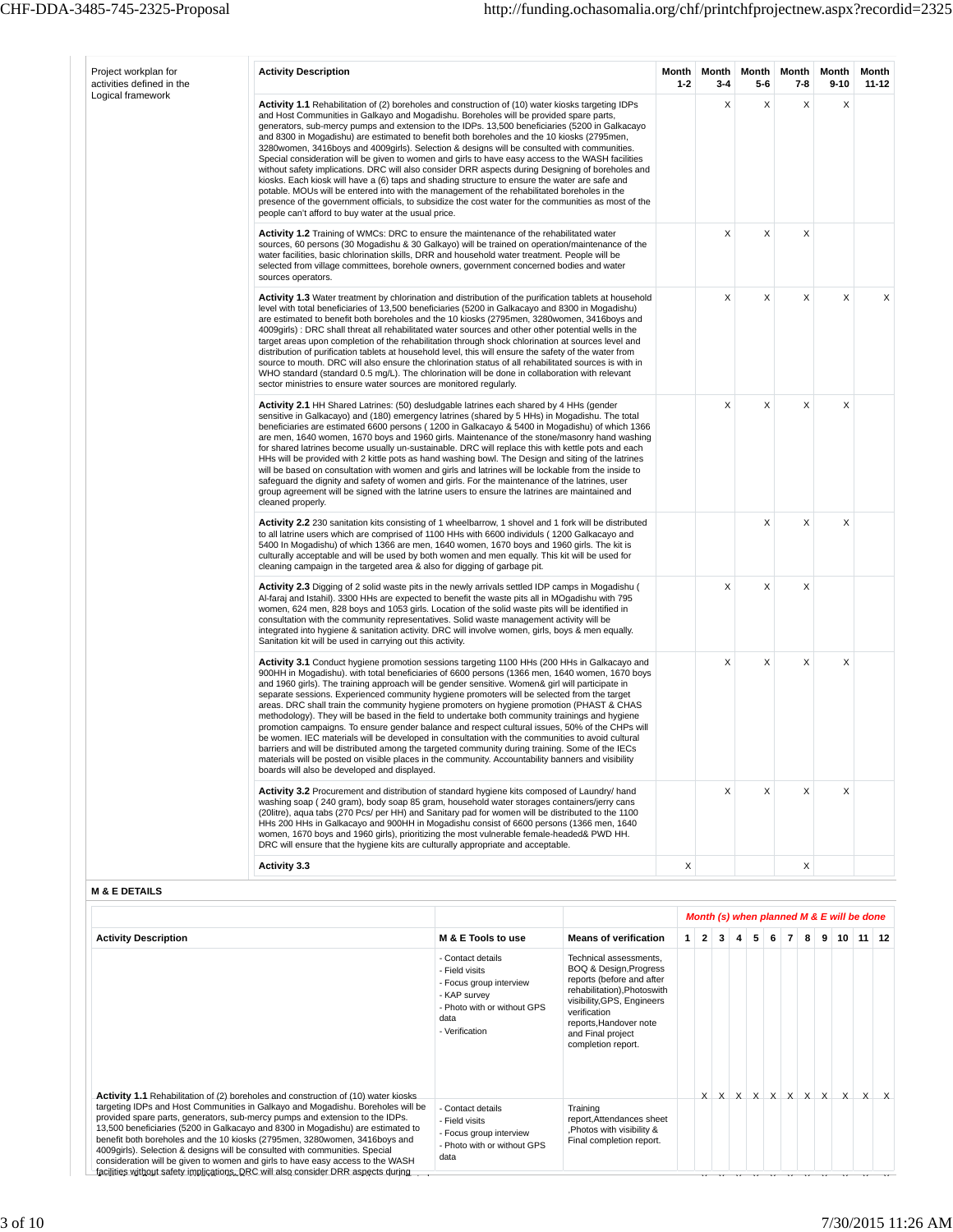| Project workplan for<br>activities defined in the | <b>Activity Description</b>                                                                                                                                                                                                                                                                                                                                                                                                                                                                                                                                                                                                                                                                                                                                                                                                                                                                                                                                                                                                                                                      |                                                                                                               |                                                                                                                                                            | Month<br>$1 - 2$ |                | Month<br>$3 - 4$ |   | Month<br>5-6        | Month<br>$7 - 8$ | Month<br>$9 - 10$                         | Month<br>11-12 |
|---------------------------------------------------|----------------------------------------------------------------------------------------------------------------------------------------------------------------------------------------------------------------------------------------------------------------------------------------------------------------------------------------------------------------------------------------------------------------------------------------------------------------------------------------------------------------------------------------------------------------------------------------------------------------------------------------------------------------------------------------------------------------------------------------------------------------------------------------------------------------------------------------------------------------------------------------------------------------------------------------------------------------------------------------------------------------------------------------------------------------------------------|---------------------------------------------------------------------------------------------------------------|------------------------------------------------------------------------------------------------------------------------------------------------------------|------------------|----------------|------------------|---|---------------------|------------------|-------------------------------------------|----------------|
| Logical framework                                 | <b>Activity 1.1</b> Rehabilitation of (2) boreholes and construction of (10) water kiosks targeting IDPs<br>and Host Communities in Galkayo and Mogadishu. Boreholes will be provided spare parts,<br>generators, sub-mercy pumps and extension to the IDPs. 13,500 beneficiaries (5200 in Galkacayo<br>and 8300 in Mogadishu) are estimated to benefit both boreholes and the 10 kiosks (2795men,<br>3280 women, 3416 boys and 4009 girls). Selection & designs will be consulted with communities.<br>Special consideration will be given to women and girls to have easy access to the WASH facilities<br>without safety implications. DRC will also consider DRR aspects during Designing of boreholes and<br>kiosks. Each kiosk will have a (6) taps and shading structure to ensure the water are safe and<br>potable. MOUs will be entered into with the management of the rehabilitated boreholes in the<br>presence of the government officials, to subsidize the cost water for the communities as most of the<br>people can't afford to buy water at the usual price. |                                                                                                               |                                                                                                                                                            |                  |                | Χ                |   | X                   | X                | Χ                                         |                |
|                                                   | Activity 1.2 Training of WMCs: DRC to ensure the maintenance of the rehabilitated water<br>sources, 60 persons (30 Mogadishu & 30 Galkayo) will be trained on operation/maintenance of the<br>water facilities, basic chlorination skills, DRR and household water treatment. People will be<br>selected from village committees, borehole owners, government concerned bodies and water<br>sources operators.                                                                                                                                                                                                                                                                                                                                                                                                                                                                                                                                                                                                                                                                   |                                                                                                               |                                                                                                                                                            |                  |                | X                |   | X                   | X                |                                           |                |
|                                                   | <b>Activity 1.3</b> Water treatment by chlorination and distribution of the purification tablets at household<br>level with total beneficiaries of 13,500 beneficiaries (5200 in Galkacayo and 8300 in Mogadishu)<br>are estimated to benefit both boreholes and the 10 kiosks (2795men, 3280women, 3416boys and<br>4009girls) : DRC shall threat all rehabilitated water sources and other other potential wells in the<br>target areas upon completion of the rehabilitation through shock chlorination at sources level and<br>distribution of purification tablets at household level, this will ensure the safety of the water from<br>source to mouth. DRC will also ensure the chlorination status of all rehabilitated sources is with in<br>WHO standard (standard 0.5 mg/L). The chlorination will be done in collaboration with relevant<br>sector ministries to ensure water sources are monitored regularly.                                                                                                                                                        |                                                                                                               |                                                                                                                                                            |                  |                | X                |   | X                   | X                | X                                         | X              |
|                                                   | Activity 2.1 HH Shared Latrines: (50) desludgable latrines each shared by 4 HHs (gender<br>sensitive in Galkacayo) and (180) emergency latrines (shared by 5 HHs) in Mogadishu. The total<br>beneficiaries are estimated 6600 persons (1200 in Galkacayo & 5400 in Mogadishu) of which 1366<br>are men, 1640 women, 1670 boys and 1960 girls. Maintenance of the stone/masonry hand washing<br>for shared latrines become usually un-sustainable. DRC will replace this with kettle pots and each<br>HHs will be provided with 2 kittle pots as hand washing bowl. The Design and siting of the latrines<br>will be based on consultation with women and girls and latrines will be lockable from the inside to<br>safeguard the dignity and safety of women and girls. For the maintenance of the latrines, user<br>group agreement will be signed with the latrine users to ensure the latrines are maintained and<br>cleaned properly.                                                                                                                                        |                                                                                                               |                                                                                                                                                            |                  |                | Χ                |   | X                   | X                | X                                         |                |
|                                                   | Activity 2.2 230 sanitation kits consisting of 1 wheelbarrow, 1 shovel and 1 fork will be distributed<br>to all latrine users which are comprised of 1100 HHs with 6600 individuls (1200 Galkacayo and<br>5400 In Mogadishu) of which 1366 are men, 1640 women, 1670 boys and 1960 girls. The kit is<br>culturally acceptable and will be used by both women and men equally. This kit will be used for<br>cleaning campaign in the targeted area & also for digging of garbage pit.                                                                                                                                                                                                                                                                                                                                                                                                                                                                                                                                                                                             |                                                                                                               |                                                                                                                                                            |                  |                |                  |   | X                   | Χ                | X                                         |                |
|                                                   | Activity 2.3 Digging of 2 solid waste pits in the newly arrivals settled IDP camps in Mogadishu (<br>Al-faraj and Istahil). 3300 HHs are expected to benefit the waste pits all in MOgadishu with 795<br>women, 624 men, 828 boys and 1053 girls. Location of the solid waste pits will be identified in<br>consultation with the community representatives. Solid waste management activity will be<br>integrated into hygiene & sanitation activity. DRC will involve women, girls, boys & men equally.<br>Sanitation kit will be used in carrying out this activity.                                                                                                                                                                                                                                                                                                                                                                                                                                                                                                          |                                                                                                               |                                                                                                                                                            |                  |                | Χ                |   | X                   | X                |                                           |                |
|                                                   | <b>Activity 3.1</b> Conduct hygiene promotion sessions targeting 1100 HHs (200 HHs in Galkacayo and<br>900HH in Mogadishu). with total beneficiaries of 6600 persons (1366 men, 1640 women, 1670 boys<br>and 1960 girls). The training approach will be gender sensitive. Women& girl will participate in<br>separate sessions. Experienced community hygiene promoters will be selected from the target<br>areas. DRC shall train the community hygiene promoters on hygiene promotion (PHAST & CHAS<br>methodology). They will be based in the field to undertake both community trainings and hygiene<br>promotion campaigns. To ensure gender balance and respect cultural issues, 50% of the CHPs will<br>be women. IEC materials will be developed in consultation with the communities to avoid cultural<br>barriers and will be distributed among the targeted community during training. Some of the IECs<br>materials will be posted on visible places in the community. Accountability banners and visibility<br>boards will also be developed and displayed.         |                                                                                                               |                                                                                                                                                            |                  |                | X                |   | X                   | Χ                | X                                         |                |
|                                                   | Activity 3.2 Procurement and distribution of standard hygiene kits composed of Laundry/ hand<br>washing soap (240 gram), body soap 85 gram, household water storages containers/jerry cans<br>(20litre), aqua tabs (270 Pcs/ per HH) and Sanitary pad for women will be distributed to the 1100<br>HHs 200 HHs in Galkacayo and 900HH in Mogadishu consist of 6600 persons (1366 men, 1640<br>women, 1670 boys and 1960 girls), prioritizing the most vulnerable female-headed& PWD HH.<br>DRC will ensure that the hygiene kits are culturally appropriate and acceptable.                                                                                                                                                                                                                                                                                                                                                                                                                                                                                                      |                                                                                                               |                                                                                                                                                            |                  |                | X                |   | X                   | X                | X                                         |                |
|                                                   | <b>Activity 3.3</b>                                                                                                                                                                                                                                                                                                                                                                                                                                                                                                                                                                                                                                                                                                                                                                                                                                                                                                                                                                                                                                                              |                                                                                                               |                                                                                                                                                            | X                |                |                  |   |                     | X                |                                           |                |
| <b>M &amp; E DETAILS</b>                          |                                                                                                                                                                                                                                                                                                                                                                                                                                                                                                                                                                                                                                                                                                                                                                                                                                                                                                                                                                                                                                                                                  |                                                                                                               |                                                                                                                                                            |                  |                |                  |   |                     |                  |                                           |                |
|                                                   |                                                                                                                                                                                                                                                                                                                                                                                                                                                                                                                                                                                                                                                                                                                                                                                                                                                                                                                                                                                                                                                                                  |                                                                                                               |                                                                                                                                                            |                  |                |                  |   |                     |                  | Month (s) when planned M & E will be done |                |
| <b>Activity Description</b>                       |                                                                                                                                                                                                                                                                                                                                                                                                                                                                                                                                                                                                                                                                                                                                                                                                                                                                                                                                                                                                                                                                                  | M & E Tools to use                                                                                            | <b>Means of verification</b>                                                                                                                               | $\mathbf{1}$     | $\overline{2}$ | 3 <sup>1</sup>   | 4 | 5 <sup>1</sup><br>6 | $\overline{7}$   | $8$ 9 10 11 12                            |                |
|                                                   |                                                                                                                                                                                                                                                                                                                                                                                                                                                                                                                                                                                                                                                                                                                                                                                                                                                                                                                                                                                                                                                                                  | - Contact details<br>- Field visits<br>- Focus group interview<br>- KAP survey<br>- Photo with or without GPS | Technical assessments,<br>BOQ & Design, Progress<br>reports (before and after<br>rehabilitation), Photoswith<br>visibility, GPS, Engineers<br>verification |                  |                |                  |   |                     |                  |                                           |                |

**Activity 1.1** Rehabilitation of (2) boreholes and construction of (10) water kiosks<br>targeting IDPs and Host Communities in Galkayo and Mogadishu. Boreholes will be<br>provided spare parts, generators, sub-mercy pumps and ext consideration will be given to women and girls to have easy access to the WASH<br>facilities without safety implications. DRC will also consider DRR aspects during and Final project completion report. - Contact details - Field visits - Focus group interview - Photo with or without GPS data Training report,Attendances sheet ,Photos with visibility & Final completion report.

data - Verification

reports,Handover note

 $x$   $x$   $x$   $x$   $x$   $x$   $x$   $x$   $x$   $x$ 

 $\mathcal{X} \times \mathcal{X} \times \mathcal{Y} \times \mathcal{Y} \times \mathcal{Y} \times \mathcal{Y} \times \mathcal{Y} \times \mathcal{Y} \times \mathcal{Y} \times \mathcal{Y} \times \mathcal{Y}$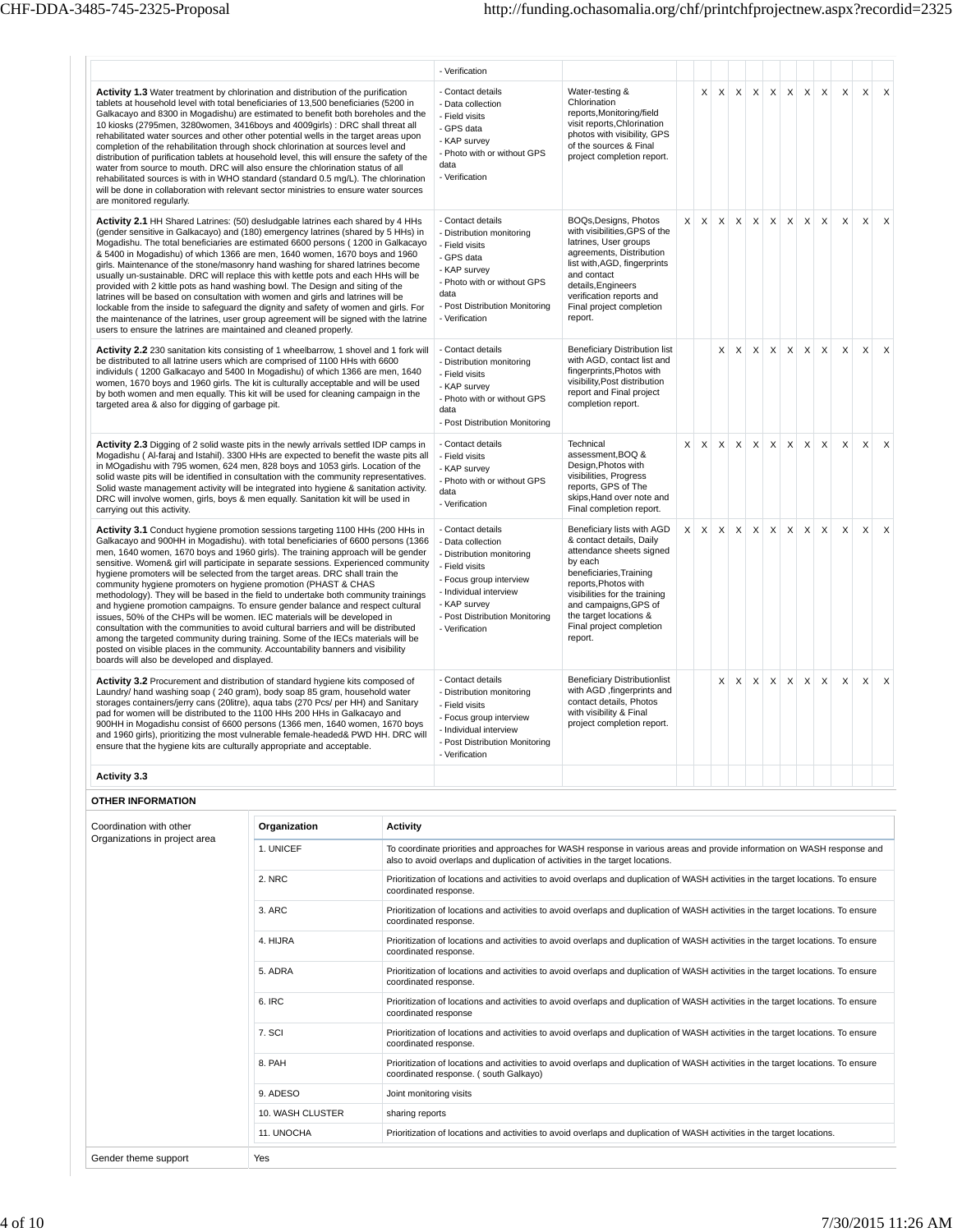|                                                                                                                                                                                                                                                                                                                                                                                                                                                                                                                                                                                                                                                                                                                                                                                                                                                                                                                                                                                                                                                                         |              |                       | - Verification                                                                                                                                                                                                 |                                                                                                                                                                                                                                                                             |          |                           |                           |              |          |                   |              |                           |              |   |          |          |
|-------------------------------------------------------------------------------------------------------------------------------------------------------------------------------------------------------------------------------------------------------------------------------------------------------------------------------------------------------------------------------------------------------------------------------------------------------------------------------------------------------------------------------------------------------------------------------------------------------------------------------------------------------------------------------------------------------------------------------------------------------------------------------------------------------------------------------------------------------------------------------------------------------------------------------------------------------------------------------------------------------------------------------------------------------------------------|--------------|-----------------------|----------------------------------------------------------------------------------------------------------------------------------------------------------------------------------------------------------------|-----------------------------------------------------------------------------------------------------------------------------------------------------------------------------------------------------------------------------------------------------------------------------|----------|---------------------------|---------------------------|--------------|----------|-------------------|--------------|---------------------------|--------------|---|----------|----------|
| <b>Activity 1.3</b> Water treatment by chlorination and distribution of the purification<br>tablets at household level with total beneficiaries of 13,500 beneficiaries (5200 in<br>Galkacayo and 8300 in Mogadishu) are estimated to benefit both boreholes and the<br>10 kiosks (2795men, 3280women, 3416boys and 4009qirls) : DRC shall threat all<br>rehabilitated water sources and other other potential wells in the target areas upon<br>completion of the rehabilitation through shock chlorination at sources level and<br>distribution of purification tablets at household level, this will ensure the safety of the<br>water from source to mouth. DRC will also ensure the chlorination status of all<br>rehabilitated sources is with in WHO standard (standard 0.5 mg/L). The chlorination<br>will be done in collaboration with relevant sector ministries to ensure water sources<br>are monitored regularly.                                                                                                                                         |              |                       | - Contact details<br>- Data collection<br>- Field visits<br>- GPS data<br>- KAP survey<br>- Photo with or without GPS<br>data<br>- Verification                                                                | Water-testing &<br>Chlorination<br>reports, Monitoring/field<br>visit reports, Chlorination<br>photos with visibility, GPS<br>of the sources & Final<br>project completion report.                                                                                          |          | X                         | X                         | $\mathsf{X}$ |          | $X$ $X$ $X$ $X$   |              |                           | $\mathsf{X}$ | X | $\times$ | $\times$ |
| Activity 2.1 HH Shared Latrines: (50) desludgable latrines each shared by 4 HHs<br>(gender sensitive in Galkacayo) and (180) emergency latrines (shared by 5 HHs) in<br>Mogadishu. The total beneficiaries are estimated 6600 persons (1200 in Galkacayo<br>& 5400 in Mogadishu) of which 1366 are men, 1640 women, 1670 boys and 1960<br>girls. Maintenance of the stone/masonry hand washing for shared latrines become<br>usually un-sustainable. DRC will replace this with kettle pots and each HHs will be<br>provided with 2 kittle pots as hand washing bowl. The Design and siting of the<br>latrines will be based on consultation with women and girls and latrines will be<br>lockable from the inside to safeguard the dignity and safety of women and girls. For<br>the maintenance of the latrines, user group agreement will be signed with the latrine<br>users to ensure the latrines are maintained and cleaned properly.                                                                                                                            |              |                       | - Contact details<br>- Distribution monitoring<br>- Field visits<br>- GPS data<br>- KAP survey<br>- Photo with or without GPS<br>data<br>- Post Distribution Monitoring<br>- Verification                      | BOQs, Designs, Photos<br>with visibilities, GPS of the<br>latrines, User groups<br>agreements, Distribution<br>list with, AGD, fingerprints<br>and contact<br>details, Engineers<br>verification reports and<br>Final project completion<br>report.                         | $\times$ | $\times$                  | $\times$                  |              |          | $X$ $X$ $X$       | $\times$     | $\boldsymbol{\mathsf{X}}$ | X            | X | X        | X        |
| Activity 2.2 230 sanitation kits consisting of 1 wheelbarrow, 1 shovel and 1 fork will<br>be distributed to all latrine users which are comprised of 1100 HHs with 6600<br>individuls (1200 Galkacayo and 5400 In Mogadishu) of which 1366 are men, 1640<br>women, 1670 boys and 1960 girls. The kit is culturally acceptable and will be used<br>by both women and men equally. This kit will be used for cleaning campaign in the<br>targeted area & also for digging of garbage pit.                                                                                                                                                                                                                                                                                                                                                                                                                                                                                                                                                                                 |              |                       | - Contact details<br>- Distribution monitoring<br>- Field visits<br>- KAP survey<br>- Photo with or without GPS<br>data<br>- Post Distribution Monitoring                                                      | <b>Beneficiary Distribution list</b><br>with AGD, contact list and<br>fingerprints, Photos with<br>visibility, Post distribution<br>report and Final project<br>completion report.                                                                                          |          |                           | X                         | $\times$     |          | $x \mid x \mid x$ |              | $\boldsymbol{\mathsf{X}}$ | X            | X | X        | $\times$ |
| Activity 2.3 Digging of 2 solid waste pits in the newly arrivals settled IDP camps in<br>Mogadishu (Al-faraj and Istahil). 3300 HHs are expected to benefit the waste pits all<br>in MOgadishu with 795 women, 624 men, 828 boys and 1053 girls. Location of the<br>solid waste pits will be identified in consultation with the community representatives.<br>Solid waste management activity will be integrated into hygiene & sanitation activity.<br>DRC will involve women, girls, boys & men equally. Sanitation kit will be used in<br>carrying out this activity.                                                                                                                                                                                                                                                                                                                                                                                                                                                                                               |              |                       | - Contact details<br>- Field visits<br>- KAP survey<br>- Photo with or without GPS<br>data<br>- Verification                                                                                                   | Technical<br>assessment, BOQ &<br>Design, Photos with<br>visibilities, Progress<br>reports, GPS of The<br>skips, Hand over note and<br>Final completion report.                                                                                                             | $\times$ | $\times$                  | $\mathsf{X}$              |              |          | $X$ $X$ $X$ $X$   |              | $\times$                  | $\times$     | X | X        | $\times$ |
| Activity 3.1 Conduct hygiene promotion sessions targeting 1100 HHs (200 HHs in<br>Galkacayo and 900HH in Mogadishu). with total beneficiaries of 6600 persons (1366<br>men, 1640 women, 1670 boys and 1960 girls). The training approach will be gender<br>sensitive. Women& girl will participate in separate sessions. Experienced community<br>hygiene promoters will be selected from the target areas. DRC shall train the<br>community hygiene promoters on hygiene promotion (PHAST & CHAS<br>methodology). They will be based in the field to undertake both community trainings<br>and hygiene promotion campaigns. To ensure gender balance and respect cultural<br>issues, 50% of the CHPs will be women. IEC materials will be developed in<br>consultation with the communities to avoid cultural barriers and will be distributed<br>among the targeted community during training. Some of the IECs materials will be<br>posted on visible places in the community. Accountability banners and visibility<br>boards will also be developed and displayed. |              |                       | - Contact details<br>- Data collection<br>- Distribution monitoring<br>- Field visits<br>- Focus group interview<br>- Individual interview<br>- KAP survey<br>- Post Distribution Monitoring<br>- Verification | Beneficiary lists with AGD<br>& contact details, Daily<br>attendance sheets signed<br>by each<br>beneficiaries, Training<br>reports, Photos with<br>visibilities for the training<br>and campaigns, GPS of<br>the target locations &<br>Final project completion<br>report. | $\times$ | $\boldsymbol{\mathsf{X}}$ | $\boldsymbol{\mathsf{x}}$ |              |          | $X$ $X$ $X$       | $\mathsf{X}$ | $\boldsymbol{\mathsf{X}}$ | X            | X | X        | $\times$ |
| Activity 3.2 Procurement and distribution of standard hygiene kits composed of<br>Laundry/ hand washing soap (240 gram), body soap 85 gram, household water<br>storages containers/jerry cans (20litre), aqua tabs (270 Pcs/ per HH) and Sanitary<br>pad for women will be distributed to the 1100 HHs 200 HHs in Galkacayo and<br>900HH in Mogadishu consist of 6600 persons (1366 men, 1640 women, 1670 boys<br>and 1960 girls), prioritizing the most vulnerable female-headed& PWD HH. DRC will<br>ensure that the hygiene kits are culturally appropriate and acceptable.                                                                                                                                                                                                                                                                                                                                                                                                                                                                                          |              |                       | - Contact details<br>- Distribution monitoring<br>- Field visits<br>- Focus group interview<br>- Individual interview<br>- Post Distribution Monitoring<br>- Verification                                      | <b>Beneficiary Distributionlist</b><br>with AGD , fingerprints and<br>contact details, Photos<br>with visibility & Final<br>project completion report.                                                                                                                      |          |                           | X                         | $\times$     | $\times$ | $\times$          | $\mathsf{X}$ | $\times$                  | $\mathsf{X}$ | X | X        | $\times$ |
| <b>Activity 3.3</b>                                                                                                                                                                                                                                                                                                                                                                                                                                                                                                                                                                                                                                                                                                                                                                                                                                                                                                                                                                                                                                                     |              |                       |                                                                                                                                                                                                                |                                                                                                                                                                                                                                                                             |          |                           |                           |              |          |                   |              |                           |              |   |          |          |
| <b>OTHER INFORMATION</b>                                                                                                                                                                                                                                                                                                                                                                                                                                                                                                                                                                                                                                                                                                                                                                                                                                                                                                                                                                                                                                                |              |                       |                                                                                                                                                                                                                |                                                                                                                                                                                                                                                                             |          |                           |                           |              |          |                   |              |                           |              |   |          |          |
| Coordination with other<br>Organizations in project area                                                                                                                                                                                                                                                                                                                                                                                                                                                                                                                                                                                                                                                                                                                                                                                                                                                                                                                                                                                                                | Organization | <b>Activity</b>       |                                                                                                                                                                                                                |                                                                                                                                                                                                                                                                             |          |                           |                           |              |          |                   |              |                           |              |   |          |          |
|                                                                                                                                                                                                                                                                                                                                                                                                                                                                                                                                                                                                                                                                                                                                                                                                                                                                                                                                                                                                                                                                         | 1. UNICEF    |                       | To coordinate priorities and approaches for WASH response in various areas and provide information on WASH response and<br>also to avoid overlaps and duplication of activities in the target locations.       |                                                                                                                                                                                                                                                                             |          |                           |                           |              |          |                   |              |                           |              |   |          |          |
|                                                                                                                                                                                                                                                                                                                                                                                                                                                                                                                                                                                                                                                                                                                                                                                                                                                                                                                                                                                                                                                                         | 2. NRC       | coordinated response. | Prioritization of locations and activities to avoid overlaps and duplication of WASH activities in the target locations. To ensure                                                                             |                                                                                                                                                                                                                                                                             |          |                           |                           |              |          |                   |              |                           |              |   |          |          |
|                                                                                                                                                                                                                                                                                                                                                                                                                                                                                                                                                                                                                                                                                                                                                                                                                                                                                                                                                                                                                                                                         | 3. ARC       | coordinated response. | Prioritization of locations and activities to avoid overlaps and duplication of WASH activities in the target locations. To ensure                                                                             |                                                                                                                                                                                                                                                                             |          |                           |                           |              |          |                   |              |                           |              |   |          |          |
|                                                                                                                                                                                                                                                                                                                                                                                                                                                                                                                                                                                                                                                                                                                                                                                                                                                                                                                                                                                                                                                                         | 4. HIJRA     | coordinated response. | Prioritization of locations and activities to avoid overlaps and duplication of WASH activities in the target locations. To ensure                                                                             |                                                                                                                                                                                                                                                                             |          |                           |                           |              |          |                   |              |                           |              |   |          |          |

|                      |                  | coordinated response.                                                                                                                                                       |
|----------------------|------------------|-----------------------------------------------------------------------------------------------------------------------------------------------------------------------------|
|                      | 5. ADRA          | Prioritization of locations and activities to avoid overlaps and duplication of WASH activities in the target locations. To ensure<br>coordinated response.                 |
|                      | 6. IRC           | Prioritization of locations and activities to avoid overlaps and duplication of WASH activities in the target locations. To ensure<br>coordinated response                  |
|                      | 7. SCI           | Prioritization of locations and activities to avoid overlaps and duplication of WASH activities in the target locations. To ensure<br>coordinated response.                 |
|                      | 8. PAH           | Prioritization of locations and activities to avoid overlaps and duplication of WASH activities in the target locations. To ensure<br>coordinated response. (south Galkayo) |
|                      | 9. ADESO         | Joint monitoring visits                                                                                                                                                     |
|                      | 10. WASH CLUSTER | sharing reports                                                                                                                                                             |
|                      | 11. UNOCHA       | Prioritization of locations and activities to avoid overlaps and duplication of WASH activities in the target locations.                                                    |
| Gender theme support | Yes              |                                                                                                                                                                             |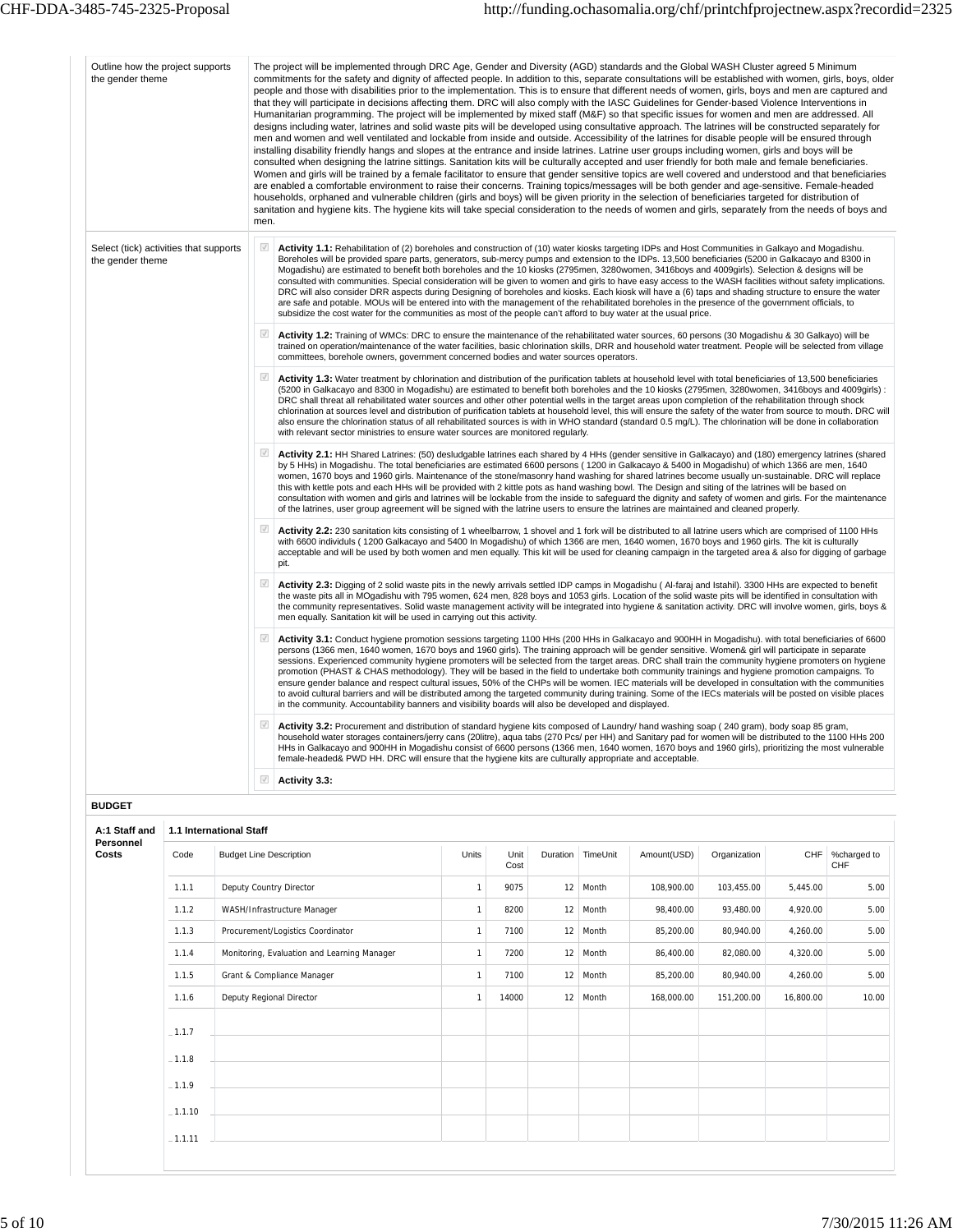| Outline how the project supports<br>the gender theme       |                         | men.                     | The project will be implemented through DRC Age, Gender and Diversity (AGD) standards and the Global WASH Cluster agreed 5 Minimum<br>commitments for the safety and dignity of affected people. In addition to this, separate consultations will be established with women, girls, boys, older<br>people and those with disabilities prior to the implementation. This is to ensure that different needs of women, girls, boys and men are captured and<br>that they will participate in decisions affecting them. DRC will also comply with the IASC Guidelines for Gender-based Violence Interventions in<br>Humanitarian programming. The project will be implemented by mixed staff (M&F) so that specific issues for women and men are addressed. All<br>designs including water, latrines and solid waste pits will be developed using consultative approach. The latrines will be constructed separately for<br>men and women and well ventilated and lockable from inside and outside. Accessibility of the latrines for disable people will be ensured through<br>installing disability friendly hangs and slopes at the entrance and inside latrines. Latrine user groups including women, girls and boys will be<br>consulted when designing the latrine sittings. Sanitation kits will be culturally accepted and user friendly for both male and female beneficiaries.<br>Women and girls will be trained by a female facilitator to ensure that gender sensitive topics are well covered and understood and that beneficiaries<br>are enabled a comfortable environment to raise their concerns. Training topics/messages will be both gender and age-sensitive. Female-headed<br>households, orphaned and vulnerable children (girls and boys) will be given priority in the selection of beneficiaries targeted for distribution of<br>sanitation and hygiene kits. The hygiene kits will take special consideration to the needs of women and girls, separately from the needs of boys and |              |              |          |          |             |              |          |                    |
|------------------------------------------------------------|-------------------------|--------------------------|--------------------------------------------------------------------------------------------------------------------------------------------------------------------------------------------------------------------------------------------------------------------------------------------------------------------------------------------------------------------------------------------------------------------------------------------------------------------------------------------------------------------------------------------------------------------------------------------------------------------------------------------------------------------------------------------------------------------------------------------------------------------------------------------------------------------------------------------------------------------------------------------------------------------------------------------------------------------------------------------------------------------------------------------------------------------------------------------------------------------------------------------------------------------------------------------------------------------------------------------------------------------------------------------------------------------------------------------------------------------------------------------------------------------------------------------------------------------------------------------------------------------------------------------------------------------------------------------------------------------------------------------------------------------------------------------------------------------------------------------------------------------------------------------------------------------------------------------------------------------------------------------------------------------------------------------------------------------------------------------------------------|--------------|--------------|----------|----------|-------------|--------------|----------|--------------------|
| Select (tick) activities that supports<br>the gender theme |                         |                          | Activity 1.1: Rehabilitation of (2) boreholes and construction of (10) water kiosks targeting IDPs and Host Communities in Galkayo and Mogadishu.<br>Boreholes will be provided spare parts, generators, sub-mercy pumps and extension to the IDPs. 13,500 beneficiaries (5200 in Galkacayo and 8300 in<br>Mogadishu) are estimated to benefit both boreholes and the 10 kiosks (2795men, 3280women, 3416boys and 4009girls). Selection & designs will be<br>consulted with communities. Special consideration will be given to women and girls to have easy access to the WASH facilities without safety implications.<br>DRC will also consider DRR aspects during Designing of boreholes and kiosks. Each kiosk will have a (6) taps and shading structure to ensure the water<br>are safe and potable. MOUs will be entered into with the management of the rehabilitated boreholes in the presence of the government officials, to<br>subsidize the cost water for the communities as most of the people can't afford to buy water at the usual price.                                                                                                                                                                                                                                                                                                                                                                                                                                                                                                                                                                                                                                                                                                                                                                                                                                                                                                                                                  |              |              |          |          |             |              |          |                    |
|                                                            |                         | $\sqrt{2}$               | Activity 1.2: Training of WMCs: DRC to ensure the maintenance of the rehabilitated water sources, 60 persons (30 Mogadishu & 30 Galkayo) will be<br>trained on operation/maintenance of the water facilities, basic chlorination skills, DRR and household water treatment. People will be selected from village<br>committees, borehole owners, government concerned bodies and water sources operators.                                                                                                                                                                                                                                                                                                                                                                                                                                                                                                                                                                                                                                                                                                                                                                                                                                                                                                                                                                                                                                                                                                                                                                                                                                                                                                                                                                                                                                                                                                                                                                                                    |              |              |          |          |             |              |          |                    |
|                                                            |                         | ☑                        | Activity 1.3: Water treatment by chlorination and distribution of the purification tablets at household level with total beneficiaries of 13,500 beneficiaries<br>(5200 in Galkacayo and 8300 in Mogadishu) are estimated to benefit both boreholes and the 10 kiosks (2795men, 3280women, 3416boys and 4009girls) :<br>DRC shall threat all rehabilitated water sources and other other potential wells in the target areas upon completion of the rehabilitation through shock<br>chlorination at sources level and distribution of purification tablets at household level, this will ensure the safety of the water from source to mouth. DRC will<br>also ensure the chlorination status of all rehabilitated sources is with in WHO standard (standard 0.5 mg/L). The chlorination will be done in collaboration<br>with relevant sector ministries to ensure water sources are monitored regularly.                                                                                                                                                                                                                                                                                                                                                                                                                                                                                                                                                                                                                                                                                                                                                                                                                                                                                                                                                                                                                                                                                                   |              |              |          |          |             |              |          |                    |
|                                                            |                         | $\overline{\mathcal{A}}$ | Activity 2.1: HH Shared Latrines: (50) desludgable latrines each shared by 4 HHs (gender sensitive in Galkacayo) and (180) emergency latrines (shared<br>by 5 HHs) in Mogadishu. The total beneficiaries are estimated 6600 persons (1200 in Galkacayo & 5400 in Mogadishu) of which 1366 are men, 1640<br>women, 1670 boys and 1960 girls. Maintenance of the stone/masonry hand washing for shared latrines become usually un-sustainable. DRC will replace<br>this with kettle pots and each HHs will be provided with 2 kittle pots as hand washing bowl. The Design and siting of the latrines will be based on<br>consultation with women and girls and latrines will be lockable from the inside to safeguard the dignity and safety of women and girls. For the maintenance<br>of the latrines, user group agreement will be signed with the latrine users to ensure the latrines are maintained and cleaned properly.                                                                                                                                                                                                                                                                                                                                                                                                                                                                                                                                                                                                                                                                                                                                                                                                                                                                                                                                                                                                                                                                               |              |              |          |          |             |              |          |                    |
|                                                            |                         | $\overline{\mathcal{A}}$ | Activity 2.2: 230 sanitation kits consisting of 1 wheelbarrow, 1 shovel and 1 fork will be distributed to all latrine users which are comprised of 1100 HHs<br>with 6600 individuls (1200 Galkacayo and 5400 In Mogadishu) of which 1366 are men, 1640 women, 1670 boys and 1960 girls. The kit is culturally<br>acceptable and will be used by both women and men equally. This kit will be used for cleaning campaign in the targeted area & also for digging of garbage<br>pit.                                                                                                                                                                                                                                                                                                                                                                                                                                                                                                                                                                                                                                                                                                                                                                                                                                                                                                                                                                                                                                                                                                                                                                                                                                                                                                                                                                                                                                                                                                                           |              |              |          |          |             |              |          |                    |
|                                                            |                         | $\overline{\mathcal{A}}$ | Activity 2.3: Digging of 2 solid waste pits in the newly arrivals settled IDP camps in Mogadishu (Al-faraj and Istahil). 3300 HHs are expected to benefit<br>the waste pits all in MOgadishu with 795 women, 624 men, 828 boys and 1053 girls. Location of the solid waste pits will be identified in consultation with<br>the community representatives. Solid waste management activity will be integrated into hygiene & sanitation activity. DRC will involve women, girls, boys &<br>men equally. Sanitation kit will be used in carrying out this activity.                                                                                                                                                                                                                                                                                                                                                                                                                                                                                                                                                                                                                                                                                                                                                                                                                                                                                                                                                                                                                                                                                                                                                                                                                                                                                                                                                                                                                                            |              |              |          |          |             |              |          |                    |
|                                                            |                         | ☑                        | Activity 3.1: Conduct hygiene promotion sessions targeting 1100 HHs (200 HHs in Galkacayo and 900HH in Mogadishu). with total beneficiaries of 6600<br>persons (1366 men, 1640 women, 1670 boys and 1960 girls). The training approach will be gender sensitive. Women& girl will participate in separate<br>sessions. Experienced community hygiene promoters will be selected from the target areas. DRC shall train the community hygiene promoters on hygiene<br>promotion (PHAST & CHAS methodology). They will be based in the field to undertake both community trainings and hygiene promotion campaigns. To<br>ensure gender balance and respect cultural issues, 50% of the CHPs will be women. IEC materials will be developed in consultation with the communities<br>to avoid cultural barriers and will be distributed among the targeted community during training. Some of the IECs materials will be posted on visible places<br>in the community. Accountability banners and visibility boards will also be developed and displayed.                                                                                                                                                                                                                                                                                                                                                                                                                                                                                                                                                                                                                                                                                                                                                                                                                                                                                                                                                       |              |              |          |          |             |              |          |                    |
|                                                            |                         | $\checkmark$             | Activity 3.2: Procurement and distribution of standard hygiene kits composed of Laundry/ hand washing soap (240 gram), body soap 85 gram,<br>household water storages containers/jerry cans (20litre), aqua tabs (270 Pcs/ per HH) and Sanitary pad for women will be distributed to the 1100 HHs 200<br>HHs in Galkacayo and 900HH in Mogadishu consist of 6600 persons (1366 men, 1640 women, 1670 boys and 1960 girls), prioritizing the most vulnerable<br>female-headed& PWD HH. DRC will ensure that the hygiene kits are culturally appropriate and acceptable.                                                                                                                                                                                                                                                                                                                                                                                                                                                                                                                                                                                                                                                                                                                                                                                                                                                                                                                                                                                                                                                                                                                                                                                                                                                                                                                                                                                                                                       |              |              |          |          |             |              |          |                    |
|                                                            |                         | $\sqrt{ }$               | Activity 3.3:                                                                                                                                                                                                                                                                                                                                                                                                                                                                                                                                                                                                                                                                                                                                                                                                                                                                                                                                                                                                                                                                                                                                                                                                                                                                                                                                                                                                                                                                                                                                                                                                                                                                                                                                                                                                                                                                                                                                                                                                |              |              |          |          |             |              |          |                    |
| <b>BUDGET</b>                                              |                         |                          |                                                                                                                                                                                                                                                                                                                                                                                                                                                                                                                                                                                                                                                                                                                                                                                                                                                                                                                                                                                                                                                                                                                                                                                                                                                                                                                                                                                                                                                                                                                                                                                                                                                                                                                                                                                                                                                                                                                                                                                                              |              |              |          |          |             |              |          |                    |
| A:1 Staff and                                              | 1.1 International Staff |                          |                                                                                                                                                                                                                                                                                                                                                                                                                                                                                                                                                                                                                                                                                                                                                                                                                                                                                                                                                                                                                                                                                                                                                                                                                                                                                                                                                                                                                                                                                                                                                                                                                                                                                                                                                                                                                                                                                                                                                                                                              |              |              |          |          |             |              |          |                    |
| Personnel<br>Costs                                         | Code                    |                          | <b>Budget Line Description</b>                                                                                                                                                                                                                                                                                                                                                                                                                                                                                                                                                                                                                                                                                                                                                                                                                                                                                                                                                                                                                                                                                                                                                                                                                                                                                                                                                                                                                                                                                                                                                                                                                                                                                                                                                                                                                                                                                                                                                                               | Units        | Unit<br>Cost | Duration | TimeUnit | Amount(USD) | Organization | CHF      | %charged to<br>CHF |
|                                                            | 1.1.1                   |                          | Deputy Country Director                                                                                                                                                                                                                                                                                                                                                                                                                                                                                                                                                                                                                                                                                                                                                                                                                                                                                                                                                                                                                                                                                                                                                                                                                                                                                                                                                                                                                                                                                                                                                                                                                                                                                                                                                                                                                                                                                                                                                                                      | $\mathbf{1}$ | 9075         |          | 12 Month | 108,900.00  | 103,455.00   | 5,445.00 | 5.00               |
|                                                            | 1.1.2                   |                          | WASH/Infrastructure Manager                                                                                                                                                                                                                                                                                                                                                                                                                                                                                                                                                                                                                                                                                                                                                                                                                                                                                                                                                                                                                                                                                                                                                                                                                                                                                                                                                                                                                                                                                                                                                                                                                                                                                                                                                                                                                                                                                                                                                                                  | $\mathbf{1}$ | 8200         |          | 12 Month | 98,400.00   | 93.480.00    | 4,920.00 | 5.00               |

| 1.1.2     | WASH/Infrastructure Manager                 |   | 8200  | 12              | Month | 98,400.00  | 93,480.00  | 4,920.00  | 5.00  |
|-----------|---------------------------------------------|---|-------|-----------------|-------|------------|------------|-----------|-------|
| 1.1.3     | Procurement/Logistics Coordinator           | 1 | 7100  | 12 <sub>1</sub> | Month | 85,200.00  | 80,940.00  | 4,260.00  | 5.00  |
| 1.1.4     | Monitoring, Evaluation and Learning Manager |   | 7200  | 12              | Month | 86,400.00  | 82,080.00  | 4,320.00  | 5.00  |
| 1.1.5     | Grant & Compliance Manager                  | 1 | 7100  | 12              | Month | 85,200.00  | 80,940.00  | 4,260.00  | 5.00  |
| 1.1.6     | Deputy Regional Director                    | 1 | 14000 | 12              | Month | 168,000.00 | 151,200.00 | 16,800.00 | 10.00 |
| $-1.1.7$  |                                             |   |       |                 |       |            |            |           |       |
| $-1.1.8$  |                                             |   |       |                 |       |            |            |           |       |
| $-1.1.9$  |                                             |   |       |                 |       |            |            |           |       |
| $-1.1.10$ |                                             |   |       |                 |       |            |            |           |       |
| $-1.1.11$ |                                             |   |       |                 |       |            |            |           |       |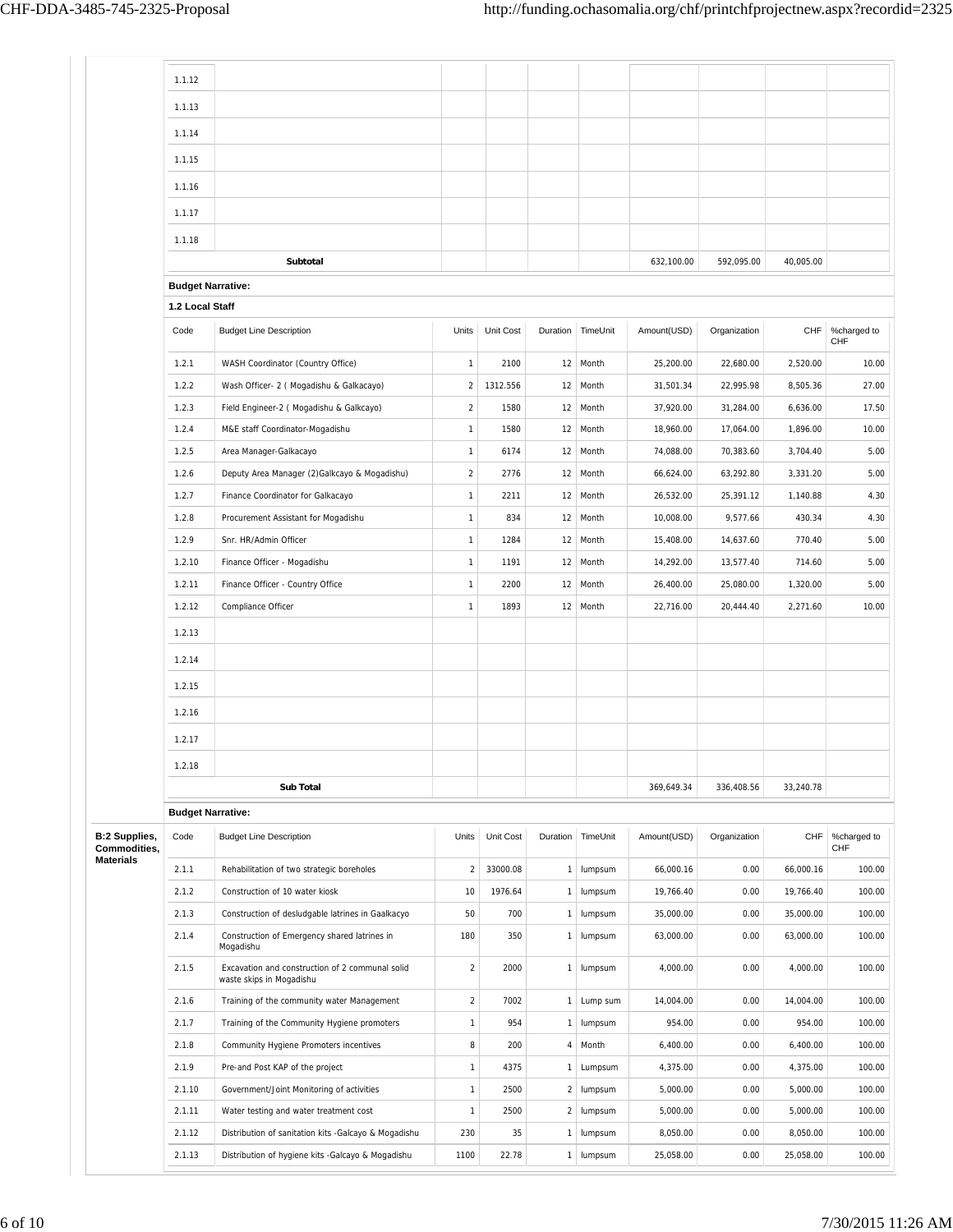|                                      | 1.1.12                   |                                                                             |                  |           |                |                   |             |              |           |                    |
|--------------------------------------|--------------------------|-----------------------------------------------------------------------------|------------------|-----------|----------------|-------------------|-------------|--------------|-----------|--------------------|
|                                      | 1.1.13                   |                                                                             |                  |           |                |                   |             |              |           |                    |
|                                      | 1.1.14                   |                                                                             |                  |           |                |                   |             |              |           |                    |
|                                      |                          |                                                                             |                  |           |                |                   |             |              |           |                    |
|                                      | 1.1.15                   |                                                                             |                  |           |                |                   |             |              |           |                    |
|                                      | 1.1.16                   |                                                                             |                  |           |                |                   |             |              |           |                    |
|                                      | 1.1.17                   |                                                                             |                  |           |                |                   |             |              |           |                    |
|                                      | 1.1.18                   |                                                                             |                  |           |                |                   |             |              |           |                    |
|                                      |                          | Subtotal                                                                    |                  |           |                |                   | 632.100.00  | 592,095.00   | 40.005.00 |                    |
|                                      | <b>Budget Narrative:</b> |                                                                             |                  |           |                |                   |             |              |           |                    |
|                                      | 1.2 Local Staff          |                                                                             |                  |           |                |                   |             |              |           |                    |
|                                      | Code                     | <b>Budget Line Description</b>                                              | Units            | Unit Cost |                | Duration TimeUnit | Amount(USD) | Organization | CHF       | %charged to<br>CHF |
|                                      | 1.2.1                    | WASH Coordinator (Country Office)                                           | $\mathbf{1}$     | 2100      |                | 12 Month          | 25,200.00   | 22,680.00    | 2,520.00  | 10.00              |
|                                      | 1.2.2                    | Wash Officer- 2 ( Mogadishu & Galkacayo)                                    | $\overline{c}$   | 1312.556  |                | 12 Month          | 31,501.34   | 22,995.98    | 8,505.36  | 27.00              |
|                                      | 1.2.3                    | Field Engineer-2 (Mogadishu & Galkcayo)                                     | $\boldsymbol{2}$ | 1580      |                | 12 Month          | 37,920.00   | 31,284.00    | 6,636.00  | 17.50              |
|                                      | 1.2.4                    | M&E staff Coordinator-Mogadishu                                             | $\mathbf{1}$     | 1580      | 12             | Month             | 18,960.00   | 17,064.00    | 1,896.00  | 10.00              |
|                                      | 1.2.5                    | Area Manager-Galkacayo                                                      | $\mathbf{1}$     | 6174      |                | 12 Month          | 74,088.00   | 70,383.60    | 3,704.40  | 5.00               |
|                                      | 1.2.6                    | Deputy Area Manager (2) Galkcayo & Mogadishu)                               | $\overline{a}$   | 2776      |                | 12 Month          | 66,624.00   | 63,292.80    | 3,331.20  | 5.00               |
|                                      | 1.2.7                    | Finance Coordinator for Galkacayo                                           | $\mathbf{1}$     | 2211      |                | 12 Month          | 26,532.00   | 25,391.12    | 1,140.88  | 4.30               |
|                                      | 1.2.8                    | Procurement Assistant for Mogadishu                                         | $\mathbf{1}$     | 834       |                | 12 Month          | 10,008.00   | 9,577.66     | 430.34    | 4.30               |
|                                      | 1.2.9                    | Snr. HR/Admin Officer                                                       | $\mathbf{1}$     | 1284      |                | 12 Month          | 15,408.00   | 14,637.60    | 770.40    | 5.00               |
|                                      | 1.2.10                   | Finance Officer - Mogadishu                                                 | $\mathbf{1}$     | 1191      |                | 12 Month          | 14,292.00   | 13,577.40    | 714.60    | 5.00               |
|                                      | 1.2.11                   | Finance Officer - Country Office                                            | $\mathbf{1}$     | 2200      |                | 12 Month          | 26,400.00   | 25,080.00    | 1,320.00  | 5.00               |
|                                      | 1.2.12                   | Compliance Officer                                                          | $\mathbf{1}$     | 1893      |                | 12 Month          | 22,716.00   | 20,444.40    | 2,271.60  | 10.00              |
|                                      | 1.2.13                   |                                                                             |                  |           |                |                   |             |              |           |                    |
|                                      | 1.2.14                   |                                                                             |                  |           |                |                   |             |              |           |                    |
|                                      | 1.2.15                   |                                                                             |                  |           |                |                   |             |              |           |                    |
|                                      | 1.2.16                   |                                                                             |                  |           |                |                   |             |              |           |                    |
|                                      | 1.2.17                   |                                                                             |                  |           |                |                   |             |              |           |                    |
|                                      |                          |                                                                             |                  |           |                |                   |             |              |           |                    |
|                                      | 1.2.18                   |                                                                             |                  |           |                |                   |             | 336,408.56   | 33,240.78 |                    |
|                                      |                          | Sub Total                                                                   |                  |           |                |                   | 369,649.34  |              |           |                    |
|                                      | <b>Budget Narrative:</b> |                                                                             |                  |           |                |                   |             |              |           |                    |
| <b>B:2 Supplies,</b><br>Commodities, | Code                     | <b>Budget Line Description</b>                                              | Units            | Unit Cost |                | Duration TimeUnit | Amount(USD) | Organization | CHF       | %charged to<br>CHF |
| Materials                            | 2.1.1                    | Rehabilitation of two strategic boreholes                                   | $\sqrt{2}$       | 33000.08  | $\mathbf{1}$   | lumpsum           | 66,000.16   | 0.00         | 66,000.16 | 100.00             |
|                                      | 2.1.2                    | Construction of 10 water kiosk                                              | 10               | 1976.64   | 1              | lumpsum           | 19,766.40   | 0.00         | 19,766.40 | 100.00             |
|                                      | 2.1.3                    | Construction of desludgable latrines in Gaalkacyo                           | 50               | 700       | $\mathbf{1}$   | lumpsum           | 35,000.00   | 0.00         | 35,000.00 | 100.00             |
|                                      | 2.1.4                    | Construction of Emergency shared latrines in<br>Mogadishu                   | 180              | 350       | 1              | lumpsum           | 63,000.00   | 0.00         | 63,000.00 | 100.00             |
|                                      | 2.1.5                    | Excavation and construction of 2 communal solid<br>waste skips in Mogadishu | $\overline{2}$   | 2000      | $\mathbf{1}$   | lumpsum           | 4,000.00    | 0.00         | 4,000.00  | 100.00             |
|                                      | 2.1.6                    | Training of the community water Management                                  | $\sqrt{2}$       | 7002      | $\mathbf{1}$   | Lump sum          | 14,004.00   | 0.00         | 14,004.00 | 100.00             |
|                                      | 2.1.7                    | Training of the Community Hygiene promoters                                 | $\mathbf{1}$     | 954       | $\mathbf{1}$   | lumpsum           | 954.00      | 0.00         | 954.00    | 100.00             |
|                                      | 2.1.8                    | Community Hygiene Promoters incentives                                      | $\,$ 8 $\,$      | 200       | 4              | Month             | 6,400.00    | 0.00         | 6,400.00  | 100.00             |
|                                      | 2.1.9                    | Pre-and Post KAP of the project                                             | $\mathbf{1}$     | 4375      | 1              | Lumpsum           | 4,375.00    | 0.00         | 4,375.00  | 100.00             |
|                                      | 2.1.10                   | Government/Joint Monitoring of activities                                   | $\mathbf{1}$     | 2500      | $\overline{a}$ | lumpsum           | 5,000.00    | 0.00         | 5,000.00  | 100.00             |
|                                      | 2.1.11                   | Water testing and water treatment cost                                      | $\mathbf{1}$     | 2500      |                | 2 lumpsum         | 5,000.00    | 0.00         | 5,000.00  | 100.00             |
|                                      | 2.1.12                   | Distribution of sanitation kits -Galcayo & Mogadishu                        | 230              | 35        | 1              | lumpsum           | 8,050.00    | 0.00         | 8,050.00  | 100.00             |
|                                      | 2.1.13                   | Distribution of hygiene kits -Galcayo & Mogadishu                           | 1100             | 22.78     |                | 1 lumpsum         | 25,058.00   | 0.00         | 25,058.00 | 100.00             |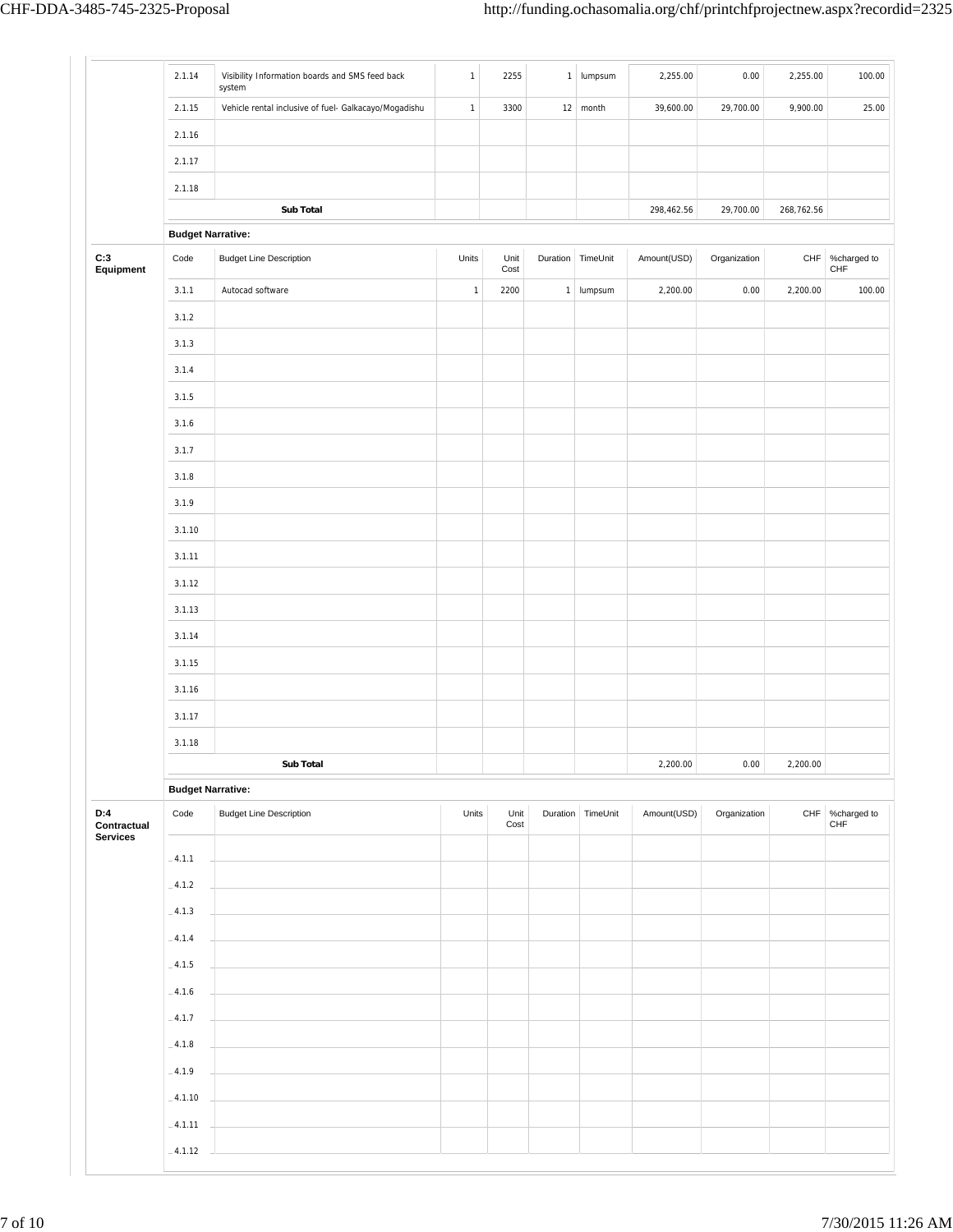|                                       | 2.1.14                   | Visibility Information boards and SMS feed back<br>system | $\mathbf{1}$ | 2255         |                   | $1$ lumpsum            | 2,255.00    | 0.00         | 2,255.00   | 100.00                 |
|---------------------------------------|--------------------------|-----------------------------------------------------------|--------------|--------------|-------------------|------------------------|-------------|--------------|------------|------------------------|
|                                       | 2.1.15                   | Vehicle rental inclusive of fuel- Galkacayo/Mogadishu     | $\mathbf 1$  | 3300         |                   | $12 \mid \text{month}$ | 39,600.00   | 29,700.00    | 9,900.00   | 25.00                  |
|                                       | 2.1.16                   |                                                           |              |              |                   |                        |             |              |            |                        |
|                                       | 2.1.17                   |                                                           |              |              |                   |                        |             |              |            |                        |
|                                       | 2.1.18                   |                                                           |              |              |                   |                        |             |              |            |                        |
|                                       |                          | Sub Total                                                 |              |              |                   |                        | 298,462.56  | 29,700.00    | 268,762.56 |                        |
|                                       | <b>Budget Narrative:</b> |                                                           |              |              |                   |                        |             |              |            |                        |
| C:3<br>Equipment                      | Code                     | <b>Budget Line Description</b>                            | Units        | Unit<br>Cost | Duration TimeUnit |                        | Amount(USD) | Organization |            | CHF %charged to<br>CHF |
|                                       | 3.1.1                    | Autocad software                                          | $\mathbf{1}$ | 2200         |                   | 1 lumpsum              | 2,200.00    | 0.00         | 2,200.00   | 100.00                 |
|                                       | 3.1.2                    |                                                           |              |              |                   |                        |             |              |            |                        |
|                                       | 3.1.3                    |                                                           |              |              |                   |                        |             |              |            |                        |
|                                       | 3.1.4                    |                                                           |              |              |                   |                        |             |              |            |                        |
|                                       | 3.1.5                    |                                                           |              |              |                   |                        |             |              |            |                        |
|                                       | 3.1.6                    |                                                           |              |              |                   |                        |             |              |            |                        |
|                                       | 3.1.7                    |                                                           |              |              |                   |                        |             |              |            |                        |
|                                       | 3.1.8                    |                                                           |              |              |                   |                        |             |              |            |                        |
|                                       | 3.1.9                    |                                                           |              |              |                   |                        |             |              |            |                        |
|                                       | 3.1.10                   |                                                           |              |              |                   |                        |             |              |            |                        |
|                                       | 3.1.11                   |                                                           |              |              |                   |                        |             |              |            |                        |
|                                       | 3.1.12                   |                                                           |              |              |                   |                        |             |              |            |                        |
|                                       | 3.1.13                   |                                                           |              |              |                   |                        |             |              |            |                        |
|                                       | 3.1.14                   |                                                           |              |              |                   |                        |             |              |            |                        |
|                                       | 3.1.15                   |                                                           |              |              |                   |                        |             |              |            |                        |
|                                       | 3.1.16                   |                                                           |              |              |                   |                        |             |              |            |                        |
|                                       | 3.1.17                   |                                                           |              |              |                   |                        |             |              |            |                        |
|                                       | 3.1.18                   |                                                           |              |              |                   |                        |             |              |            |                        |
|                                       |                          | Sub Total                                                 |              |              |                   |                        | 2,200.00    | $0.00\,$     | 2,200.00   |                        |
|                                       | <b>Budget Narrative:</b> |                                                           |              |              |                   |                        |             |              |            |                        |
| D:4<br>Contractual<br><b>Services</b> | Code                     | <b>Budget Line Description</b>                            | Units        | Unit<br>Cost | Duration          | TimeUnit               | Amount(USD) | Organization | CHF        | %charged to<br>CHF     |
|                                       | $-4.1.1$                 |                                                           |              |              |                   |                        |             |              |            |                        |
|                                       |                          |                                                           |              |              |                   |                        |             |              |            |                        |
|                                       | $-4.1.2$                 |                                                           |              |              |                   |                        |             |              |            |                        |
|                                       | $-4.1.3$                 |                                                           |              |              |                   |                        |             |              |            |                        |
|                                       | $-4.1.4$                 |                                                           |              |              |                   |                        |             |              |            |                        |
|                                       | $-4.1.5$                 |                                                           |              |              |                   |                        |             |              |            |                        |
|                                       | $-4.1.6$                 |                                                           |              |              |                   |                        |             |              |            |                        |
|                                       | $-4.1.7$                 |                                                           |              |              |                   |                        |             |              |            |                        |
|                                       | $\_4.1.8$                |                                                           |              |              |                   |                        |             |              |            |                        |
|                                       | $-4.1.9$                 |                                                           |              |              |                   |                        |             |              |            |                        |
|                                       |                          |                                                           |              |              |                   |                        |             |              |            |                        |
|                                       | $-4.1.10$<br>$-4.1.11$   |                                                           |              |              |                   |                        |             |              |            |                        |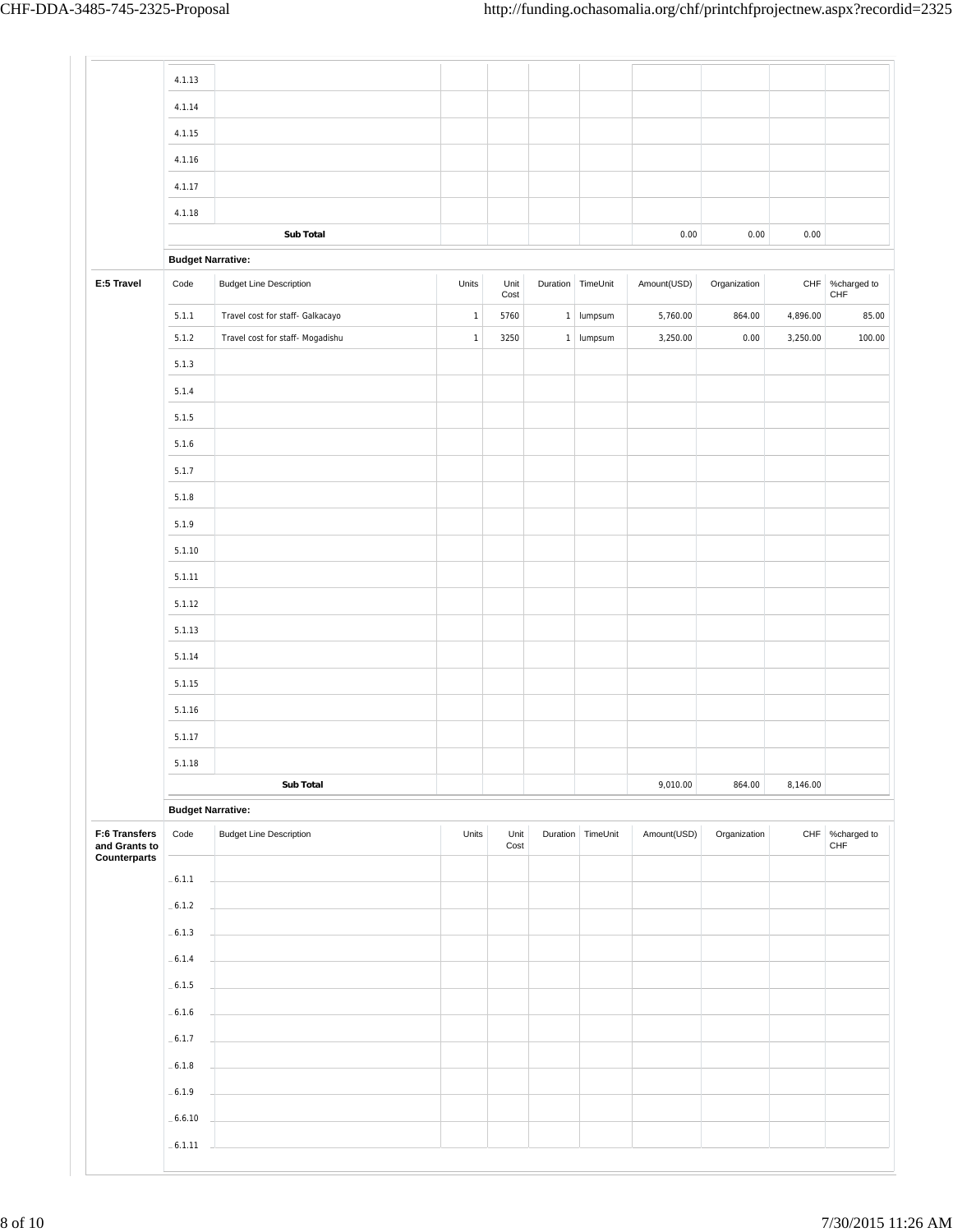|                                | 4.1.13                   |                                  |              |              |              |                   |             |              |          |                        |
|--------------------------------|--------------------------|----------------------------------|--------------|--------------|--------------|-------------------|-------------|--------------|----------|------------------------|
|                                | 4.1.14                   |                                  |              |              |              |                   |             |              |          |                        |
|                                | 4.1.15                   |                                  |              |              |              |                   |             |              |          |                        |
|                                | 4.1.16                   |                                  |              |              |              |                   |             |              |          |                        |
|                                | 4.1.17                   |                                  |              |              |              |                   |             |              |          |                        |
|                                | 4.1.18                   |                                  |              |              |              |                   |             |              |          |                        |
|                                |                          | Sub Total                        |              |              |              |                   | 0.00        | 0.00         | 0.00     |                        |
|                                | <b>Budget Narrative:</b> |                                  |              |              |              |                   |             |              |          |                        |
| E:5 Travel                     | Code                     | <b>Budget Line Description</b>   | Units        | Unit<br>Cost |              | Duration TimeUnit | Amount(USD) | Organization |          | CHF %charged to<br>CHF |
|                                | 5.1.1                    | Travel cost for staff- Galkacayo | $\mathbf{1}$ | 5760         | $\mathbf{1}$ | lumpsum           | 5,760.00    | 864.00       | 4,896.00 | 85.00                  |
|                                | 5.1.2                    | Travel cost for staff- Mogadishu | $\mathbf{1}$ | 3250         |              | $1$   lumpsum     | 3,250.00    | 0.00         | 3,250.00 | 100.00                 |
|                                | 5.1.3                    |                                  |              |              |              |                   |             |              |          |                        |
|                                | 5.1.4                    |                                  |              |              |              |                   |             |              |          |                        |
|                                | 5.1.5                    |                                  |              |              |              |                   |             |              |          |                        |
|                                | 5.1.6                    |                                  |              |              |              |                   |             |              |          |                        |
|                                | 5.1.7                    |                                  |              |              |              |                   |             |              |          |                        |
|                                | 5.1.8                    |                                  |              |              |              |                   |             |              |          |                        |
|                                | 5.1.9                    |                                  |              |              |              |                   |             |              |          |                        |
|                                | 5.1.10                   |                                  |              |              |              |                   |             |              |          |                        |
|                                | 5.1.11                   |                                  |              |              |              |                   |             |              |          |                        |
|                                | 5.1.12                   |                                  |              |              |              |                   |             |              |          |                        |
|                                | 5.1.13                   |                                  |              |              |              |                   |             |              |          |                        |
|                                | 5.1.14                   |                                  |              |              |              |                   |             |              |          |                        |
|                                | 5.1.15                   |                                  |              |              |              |                   |             |              |          |                        |
|                                | 5.1.16                   |                                  |              |              |              |                   |             |              |          |                        |
|                                | 5.1.17                   |                                  |              |              |              |                   |             |              |          |                        |
|                                |                          |                                  |              |              |              |                   |             |              |          |                        |
|                                | 5.1.18                   | Sub Total                        |              |              |              |                   | 9,010.00    | 864.00       | 8,146.00 |                        |
|                                | <b>Budget Narrative:</b> |                                  |              |              |              |                   |             |              |          |                        |
| F:6 Transfers<br>and Grants to | Code                     | <b>Budget Line Description</b>   | Units        | Unit<br>Cost |              | Duration TimeUnit | Amount(USD) | Organization |          | CHF %charged to<br>CHF |
| Counterparts                   | $-6.1.1$                 |                                  |              |              |              |                   |             |              |          |                        |
|                                | $-6.1.2$                 |                                  |              |              |              |                   |             |              |          |                        |
|                                |                          |                                  |              |              |              |                   |             |              |          |                        |
|                                | $-6.1.3$                 |                                  |              |              |              |                   |             |              |          |                        |
|                                | $-6.1.4$                 |                                  |              |              |              |                   |             |              |          |                        |
|                                | $-6.1.5$                 |                                  |              |              |              |                   |             |              |          |                        |
|                                | $-6.1.6$                 |                                  |              |              |              |                   |             |              |          |                        |
|                                |                          |                                  |              |              |              |                   |             |              |          |                        |
|                                | $-6.1.7$                 |                                  |              |              |              |                   |             |              |          |                        |
|                                | $-6.1.8$                 |                                  |              |              |              |                   |             |              |          |                        |
|                                | $-6.1.9$<br>$-6.6.10$    |                                  |              |              |              |                   |             |              |          |                        |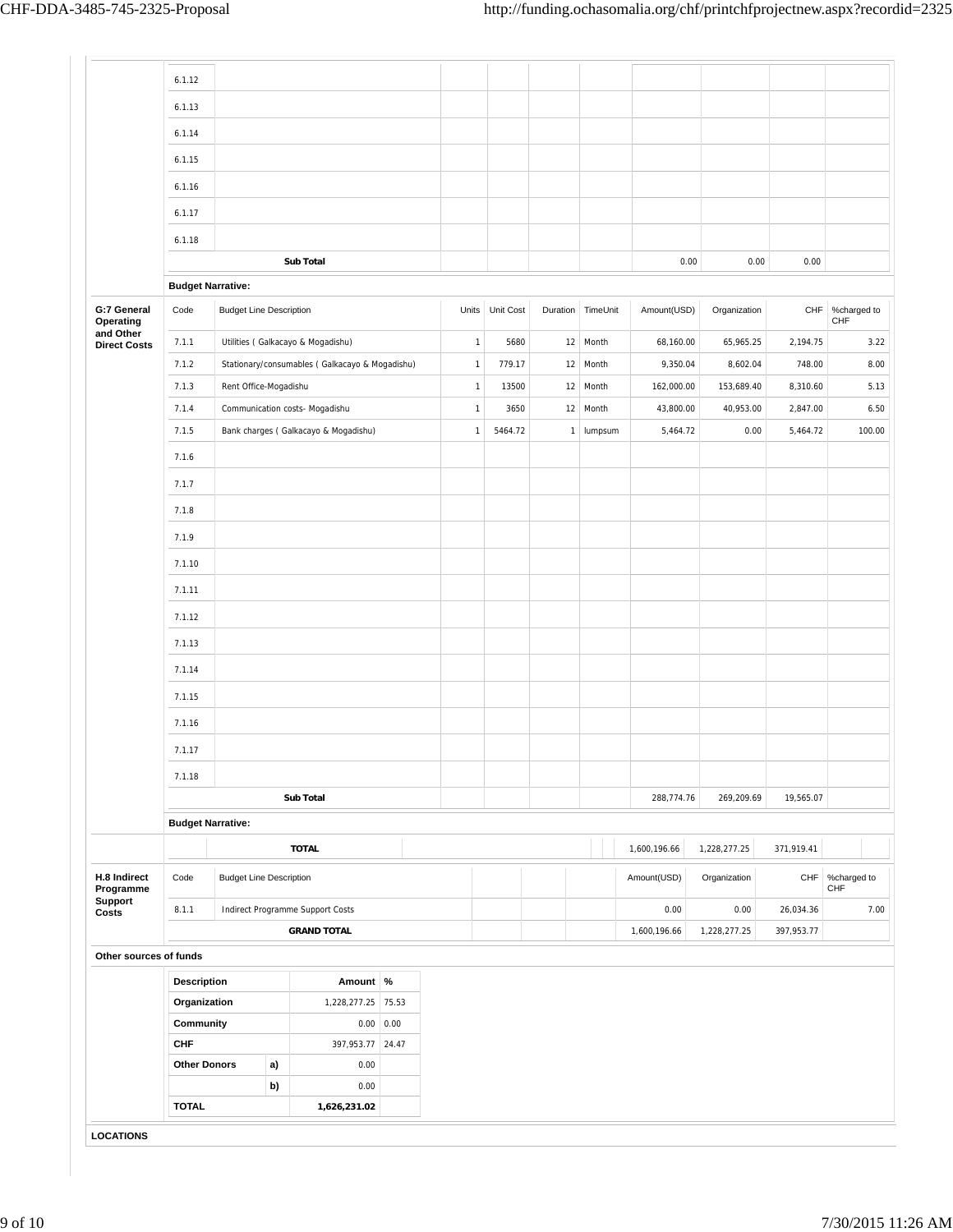|                                  | 6.1.12                   |                                |                                                 |                     |              |                 |          |          |              |              |            |                          |
|----------------------------------|--------------------------|--------------------------------|-------------------------------------------------|---------------------|--------------|-----------------|----------|----------|--------------|--------------|------------|--------------------------|
|                                  | 6.1.13                   |                                |                                                 |                     |              |                 |          |          |              |              |            |                          |
|                                  | 6.1.14                   |                                |                                                 |                     |              |                 |          |          |              |              |            |                          |
|                                  | 6.1.15                   |                                |                                                 |                     |              |                 |          |          |              |              |            |                          |
|                                  |                          |                                |                                                 |                     |              |                 |          |          |              |              |            |                          |
|                                  | 6.1.16                   |                                |                                                 |                     |              |                 |          |          |              |              |            |                          |
|                                  | 6.1.17                   |                                |                                                 |                     |              |                 |          |          |              |              |            |                          |
|                                  | 6.1.18                   |                                |                                                 |                     |              |                 |          |          |              |              |            |                          |
|                                  |                          |                                | <b>Sub Total</b>                                |                     |              |                 |          |          |              | 0.00<br>0.00 | 0.00       |                          |
|                                  | <b>Budget Narrative:</b> |                                |                                                 |                     |              |                 |          |          |              |              |            |                          |
| G:7 General<br>Operating         | Code                     | <b>Budget Line Description</b> |                                                 |                     |              | Units Unit Cost | Duration | TimeUnit | Amount(USD)  | Organization | CHF        | %charged to<br>CHF       |
| and Other<br><b>Direct Costs</b> | 7.1.1                    |                                | Utilities (Galkacayo & Mogadishu)               |                     | $\mathbf{1}$ | 5680            |          | 12 Month | 68,160.00    | 65,965.25    | 2,194.75   | 3.22                     |
|                                  | 7.1.2                    |                                | Stationary/consumables ( Galkacayo & Mogadishu) |                     | $\mathbf{1}$ | 779.17          | 12       | Month    | 9,350.04     | 8,602.04     | 748.00     | 8.00                     |
|                                  | 7.1.3                    | Rent Office-Mogadishu          |                                                 |                     | $\mathbf 1$  | 13500           |          | 12 Month | 162,000.00   | 153,689.40   | 8,310.60   | 5.13                     |
|                                  | 7.1.4                    |                                | Communication costs- Mogadishu                  |                     | $\mathbf{1}$ | 3650            |          | 12 Month | 43,800.00    | 40,953.00    | 2,847.00   | 6.50                     |
|                                  | 7.1.5                    |                                | Bank charges (Galkacayo & Mogadishu)            |                     | $\mathbf{1}$ | 5464.72         | 1        | lumpsum  | 5,464.72     | 0.00         | 5,464.72   | 100.00                   |
|                                  | 7.1.6                    |                                |                                                 |                     |              |                 |          |          |              |              |            |                          |
|                                  | 7.1.7                    |                                |                                                 |                     |              |                 |          |          |              |              |            |                          |
|                                  | 7.1.8                    |                                |                                                 |                     |              |                 |          |          |              |              |            |                          |
|                                  | 7.1.9                    |                                |                                                 |                     |              |                 |          |          |              |              |            |                          |
|                                  |                          |                                |                                                 |                     |              |                 |          |          |              |              |            |                          |
|                                  | 7.1.10                   |                                |                                                 |                     |              |                 |          |          |              |              |            |                          |
|                                  | 7.1.11                   |                                |                                                 |                     |              |                 |          |          |              |              |            |                          |
|                                  | 7.1.12                   |                                |                                                 |                     |              |                 |          |          |              |              |            |                          |
|                                  | 7.1.13                   |                                |                                                 |                     |              |                 |          |          |              |              |            |                          |
|                                  | 7.1.14                   |                                |                                                 |                     |              |                 |          |          |              |              |            |                          |
|                                  | 7.1.15                   |                                |                                                 |                     |              |                 |          |          |              |              |            |                          |
|                                  | 7.1.16                   |                                |                                                 |                     |              |                 |          |          |              |              |            |                          |
|                                  | 7.1.17                   |                                |                                                 |                     |              |                 |          |          |              |              |            |                          |
|                                  |                          |                                |                                                 |                     |              |                 |          |          |              |              |            |                          |
|                                  | 7.1.18                   |                                | <b>Sub Total</b>                                |                     |              |                 |          |          | 288,774.76   | 269,209.69   | 19,565.07  |                          |
|                                  | <b>Budget Narrative:</b> |                                |                                                 |                     |              |                 |          |          |              |              |            |                          |
|                                  |                          |                                | <b>TOTAL</b>                                    |                     |              |                 |          |          | 1,600,196.66 | 1,228,277.25 | 371,919.41 |                          |
|                                  |                          |                                |                                                 |                     |              |                 |          |          |              |              |            |                          |
| H.8 Indirect<br>Programme        | Code                     | <b>Budget Line Description</b> |                                                 |                     |              |                 |          |          | Amount(USD)  | Organization |            | CHF   %charged to<br>CHF |
| Support<br>Costs                 | 8.1.1                    |                                | Indirect Programme Support Costs                |                     |              |                 |          |          | 0.00         | 0.00         | 26,034.36  | 7.00                     |
|                                  |                          |                                | <b>GRAND TOTAL</b>                              |                     |              |                 |          |          | 1,600,196.66 | 1,228,277.25 | 397,953.77 |                          |
| Other sources of funds           |                          |                                |                                                 |                     |              |                 |          |          |              |              |            |                          |
|                                  | Description              |                                | Amount %                                        |                     |              |                 |          |          |              |              |            |                          |
|                                  | Organization             |                                | 1,228,277.25 75.53                              |                     |              |                 |          |          |              |              |            |                          |
|                                  | Community                |                                |                                                 | $0.00 \,   \, 0.00$ |              |                 |          |          |              |              |            |                          |
|                                  | <b>CHF</b>               |                                |                                                 | 397,953.77 24.47    |              |                 |          |          |              |              |            |                          |
|                                  | <b>Other Donors</b>      |                                | a)<br>0.00<br>b)<br>0.00                        |                     |              |                 |          |          |              |              |            |                          |
|                                  |                          |                                |                                                 |                     |              |                 |          |          |              |              |            |                          |